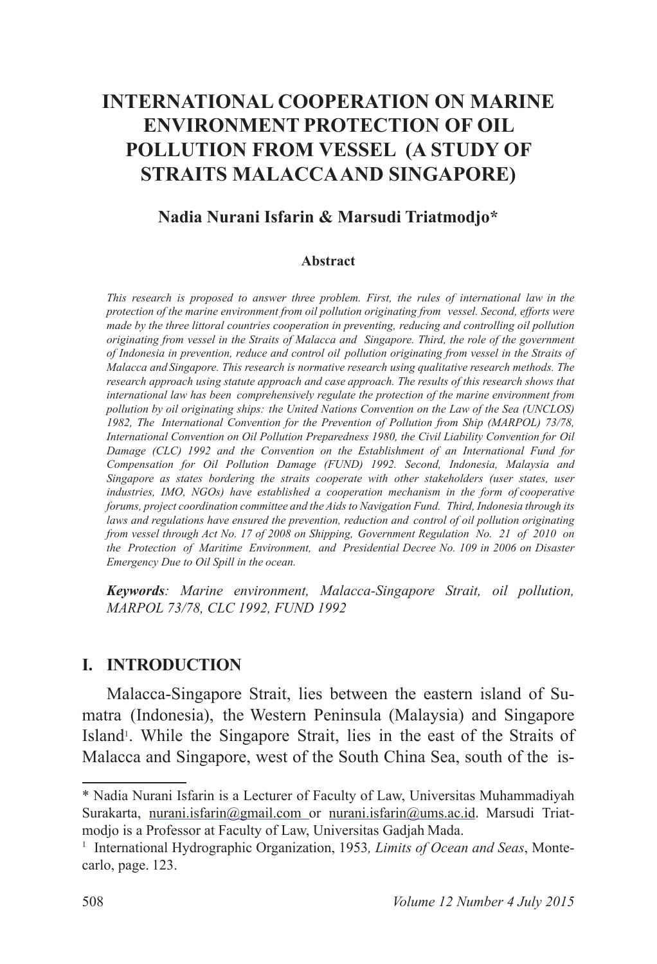# **INTERNATIONAL COOPERATION ON MARINE ENVIRONMENT PROTECTION OF OIL POLLUTION FROM VESSEL (A STUDY OF STRAITS MALACCA AND SINGAPORE)**

### **Nadia Nurani Isfarin & Marsudi Triatmodjo\***

#### **Abstract**

*This research is proposed to answer three problem. First, the rules of international law in the protection of the marine environment from oil pollution originating from vessel. Second, efforts were made by the three littoral countries cooperation in preventing, reducing and controlling oil pollution originating from vessel in the Straits of Malacca and Singapore. Third, the role of the government of Indonesia in prevention, reduce and control oil pollution originating from vessel in the Straits of Malacca and Singapore. This research is normative research using qualitative research methods. The research approach using statute approach and case approach. The results of this research shows that international law has been comprehensively regulate the protection of the marine environment from pollution by oil originating ships: the United Nations Convention on the Law of the Sea (UNCLOS) 1982, The International Convention for the Prevention of Pollution from Ship (MARPOL) 73/78, International Convention on Oil Pollution Preparedness 1980, the Civil Liability Convention for Oil Damage (CLC) 1992 and the Convention on the Establishment of an International Fund for Compensation for Oil Pollution Damage (FUND) 1992. Second, Indonesia, Malaysia and Singapore as states bordering the straits cooperate with other stakeholders (user states, user industries, IMO, NGOs) have established a cooperation mechanism in the form of cooperative forums, project coordination committee and the Aids to Navigation Fund. Third, Indonesia through its laws and regulations have ensured the prevention, reduction and control of oil pollution originating from vessel through Act No. 17 of 2008 on Shipping, Government Regulation No. 21 of 2010 on the Protection of Maritime Environment, and Presidential Decree No. 109 in 2006 on Disaster Emergency Due to Oil Spill in the ocean.*

*Keywords: Marine environment, Malacca-Singapore Strait, oil pollution, MARPOL 73/78, CLC 1992, FUND 1992*

### **I. INTRODUCTION**

Malacca-Singapore Strait, lies between the eastern island of Sumatra (Indonesia), the Western Peninsula (Malaysia) and Singapore Island<sup>1</sup>. While the Singapore Strait, lies in the east of the Straits of Malacca and Singapore, west of the South China Sea, south of the is-

<sup>\*</sup> Nadia Nurani Isfarin is a Lecturer of Faculty of Law, Universitas Muhammadiyah Surakarta, nurani.isfarin@gmail.com or nurani.isfarin@ums.ac.id. Marsudi Triatmodjo is a Professor at Faculty of Law, Universitas Gadjah Mada.

<sup>&</sup>lt;sup>1</sup> International Hydrographic Organization, 1953, Limits of Ocean and Seas, Montecarlo, page. 123.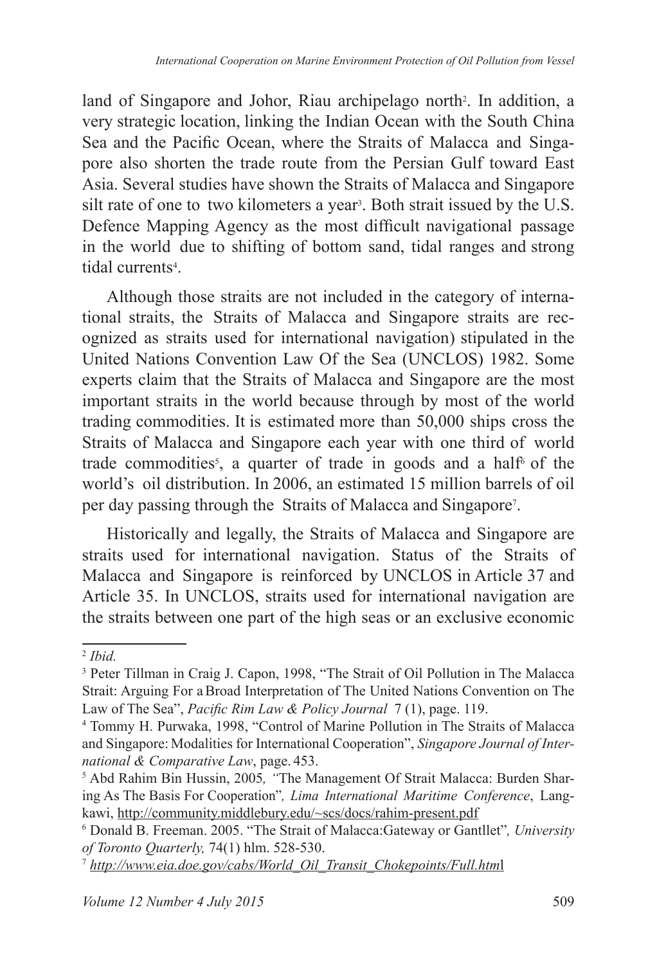land of Singapore and Johor, Riau archipelago north<sup>2</sup>. In addition, a very strategic location, linking the Indian Ocean with the South China Sea and the Pacific Ocean, where the Straits of Malacca and Singapore also shorten the trade route from the Persian Gulf toward East Asia. Several studies have shown the Straits of Malacca and Singapore silt rate of one to two kilometers a year<sup>3</sup>. Both strait issued by the U.S. Defence Mapping Agency as the most difficult navigational passage in the world due to shifting of bottom sand, tidal ranges and strong tidal currents<sup>4</sup>.

Although those straits are not included in the category of international straits, the Straits of Malacca and Singapore straits are recognized as straits used for international navigation) stipulated in the United Nations Convention Law Of the Sea (UNCLOS) 1982. Some experts claim that the Straits of Malacca and Singapore are the most important straits in the world because through by most of the world trading commodities. It is estimated more than 50,000 ships cross the Straits of Malacca and Singapore each year with one third of world trade commodities<sup>5</sup>, a quarter of trade in goods and a half<sup>6</sup> of the world's oil distribution. In 2006, an estimated 15 million barrels of oil per day passing through the Straits of Malacca and Singapore<sup>7</sup> .

Historically and legally, the Straits of Malacca and Singapore are straits used for international navigation. Status of the Straits of Malacca and Singapore is reinforced by UNCLOS in Article 37 and Article 35. In UNCLOS, straits used for international navigation are the straits between one part of the high seas or an exclusive economic

<sup>2</sup> *Ibid.*

<sup>&</sup>lt;sup>3</sup> Peter Tillman in Craig J. Capon, 1998, "The Strait of Oil Pollution in The Malacca Strait: Arguing For a Broad Interpretation of The United Nations Convention on The Law of The Sea", *Pacific Rim Law & Policy Journal* 7 (1), page. 119.

<sup>4</sup> Tommy H. Purwaka, 1998, "Control of Marine Pollution in The Straits of Malacca and Singapore: Modalities for International Cooperation", *Singapore Journal of International & Comparative Law*, page. 453.

<sup>5</sup> Abd Rahim Bin Hussin, 2005*, "*The Management Of Strait Malacca: Burden Sharing As The Basis For Cooperation"*, Lima International Maritime Conference*, Langkawi, http://community.middlebury.edu/~scs/docs/rahim-present.pdf

<sup>6</sup> Donald B. Freeman. 2005. "The Strait of Malacca:Gateway or Gantllet"*, University of Toronto Quarterly,* 74(1) hlm. 528-530.

<sup>7</sup> *http://www.eia.doe.gov/cabs/World\_Oil\_Transit\_Chokepoints/Full.htm*l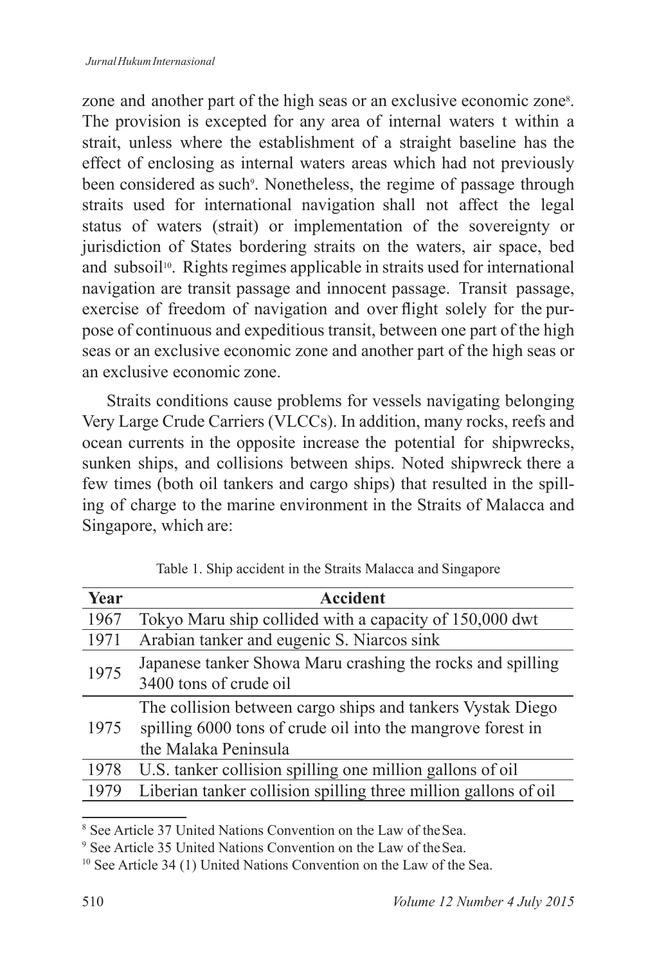zone and another part of the high seas or an exclusive economic zone<sup>8</sup>. The provision is excepted for any area of internal waters t within a strait, unless where the establishment of a straight baseline has the effect of enclosing as internal waters areas which had not previously been considered as such<sup>9</sup>. Nonetheless, the regime of passage through straits used for international navigation shall not affect the legal status of waters (strait) or implementation of the sovereignty or jurisdiction of States bordering straits on the waters, air space, bed and subsoil<sup>10</sup>. Rights regimes applicable in straits used for international navigation are transit passage and innocent passage. Transit passage, exercise of freedom of navigation and over flight solely for the purpose of continuous and expeditious transit, between one part of the high seas or an exclusive economic zone and another part of the high seas or an exclusive economic zone.

Straits conditions cause problems for vessels navigating belonging Very Large Crude Carriers (VLCCs). In addition, many rocks, reefs and ocean currents in the opposite increase the potential for shipwrecks, sunken ships, and collisions between ships. Noted shipwreck there a few times (both oil tankers and cargo ships) that resulted in the spilling of charge to the marine environment in the Straits of Malacca and Singapore, which are:

| Year | <b>Accident</b>                                                 |  |  |
|------|-----------------------------------------------------------------|--|--|
| 1967 | Tokyo Maru ship collided with a capacity of 150,000 dwt         |  |  |
| 1971 | Arabian tanker and eugenic S. Niarcos sink                      |  |  |
| 1975 | Japanese tanker Showa Maru crashing the rocks and spilling      |  |  |
|      | 3400 tons of crude oil                                          |  |  |
| 1975 | The collision between cargo ships and tankers Vystak Diego      |  |  |
|      | spilling 6000 tons of crude oil into the mangrove forest in     |  |  |
|      | the Malaka Peninsula                                            |  |  |
| 1978 | U.S. tanker collision spilling one million gallons of oil       |  |  |
| 1979 | Liberian tanker collision spilling three million gallons of oil |  |  |

Table 1. Ship accident in the Straits Malacca and Singapore

<sup>8</sup> See Article 37 United Nations Convention on the Law of the Sea.

<sup>9</sup> See Article 35 United Nations Convention on the Law of the Sea.

<sup>&</sup>lt;sup>10</sup> See Article 34 (1) United Nations Convention on the Law of the Sea.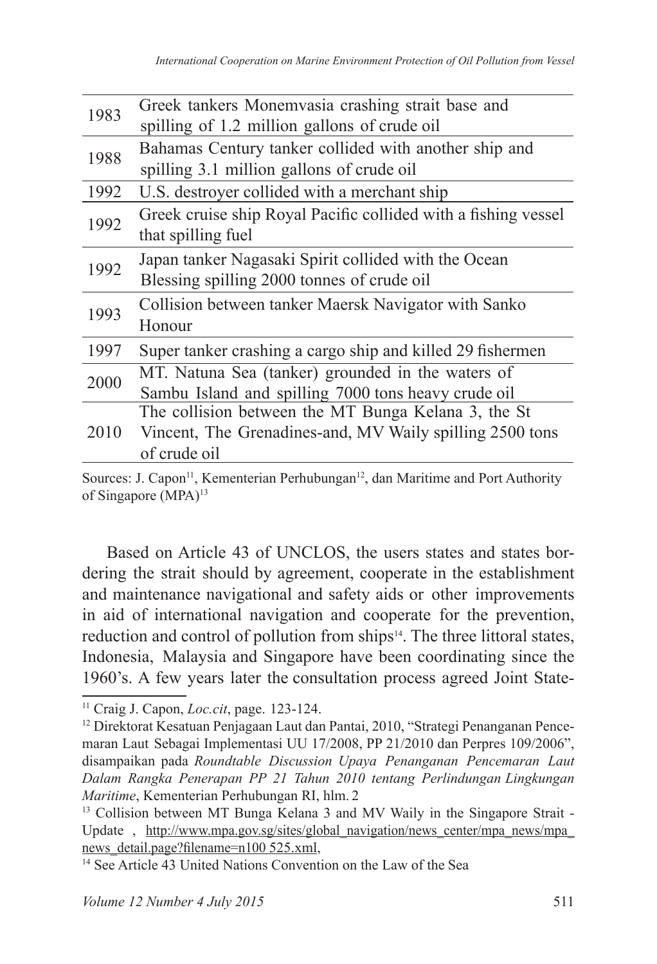| 1983 | Greek tankers Monemvasia crashing strait base and              |  |  |  |
|------|----------------------------------------------------------------|--|--|--|
|      | spilling of 1.2 million gallons of crude oil                   |  |  |  |
| 1988 | Bahamas Century tanker collided with another ship and          |  |  |  |
|      | spilling 3.1 million gallons of crude oil                      |  |  |  |
| 1992 | U.S. destroyer collided with a merchant ship                   |  |  |  |
| 1992 | Greek cruise ship Royal Pacific collided with a fishing vessel |  |  |  |
|      | that spilling fuel                                             |  |  |  |
| 1992 | Japan tanker Nagasaki Spirit collided with the Ocean           |  |  |  |
|      | Blessing spilling 2000 tonnes of crude oil                     |  |  |  |
| 1993 | Collision between tanker Maersk Navigator with Sanko           |  |  |  |
|      | Honour                                                         |  |  |  |
| 1997 | Super tanker crashing a cargo ship and killed 29 fishermen     |  |  |  |
| 2000 | MT. Natuna Sea (tanker) grounded in the waters of              |  |  |  |
|      | Sambu Island and spilling 7000 tons heavy crude oil            |  |  |  |
| 2010 | The collision between the MT Bunga Kelana 3, the St            |  |  |  |
|      | Vincent, The Grenadines-and, MV Waily spilling 2500 tons       |  |  |  |
|      | of crude oil                                                   |  |  |  |

Based on Article 43 of UNCLOS, the users states and states bordering the strait should by agreement, cooperate in the establishment and maintenance navigational and safety aids or other improvements in aid of international navigation and cooperate for the prevention, reduction and control of pollution from ships<sup>14</sup>. The three littoral states, Indonesia, Malaysia and Singapore have been coordinating since the 1960's. A few years later the consultation process agreed Joint State-

Sources: J. Capon<sup>11</sup>, Kementerian Perhubungan<sup>12</sup>, dan Maritime and Port Authority of Singapore (MPA)<sup>13</sup>

<sup>11</sup> Craig J. Capon, *Loc.cit*, page. 123-124.

<sup>12</sup> Direktorat Kesatuan Penjagaan Laut dan Pantai, 2010, "Strategi Penanganan Pencemaran Laut Sebagai Implementasi UU 17/2008, PP 21/2010 dan Perpres 109/2006", disampaikan pada *Roundtable Discussion Upaya Penanganan Pencemaran Laut Dalam Rangka Penerapan PP 21 Tahun 2010 tentang Perlindungan Lingkungan Maritime*, Kementerian Perhubungan RI, hlm. 2

<sup>&</sup>lt;sup>13</sup> Collision between MT Bunga Kelana 3 and MV Waily in the Singapore Strait -Update, http://www.mpa.gov.sg/sites/global navigation/news center/mpa news/mpa news\_detail.page?filename=n100 525.xml,

<sup>14</sup> See Article 43 United Nations Convention on the Law of the Sea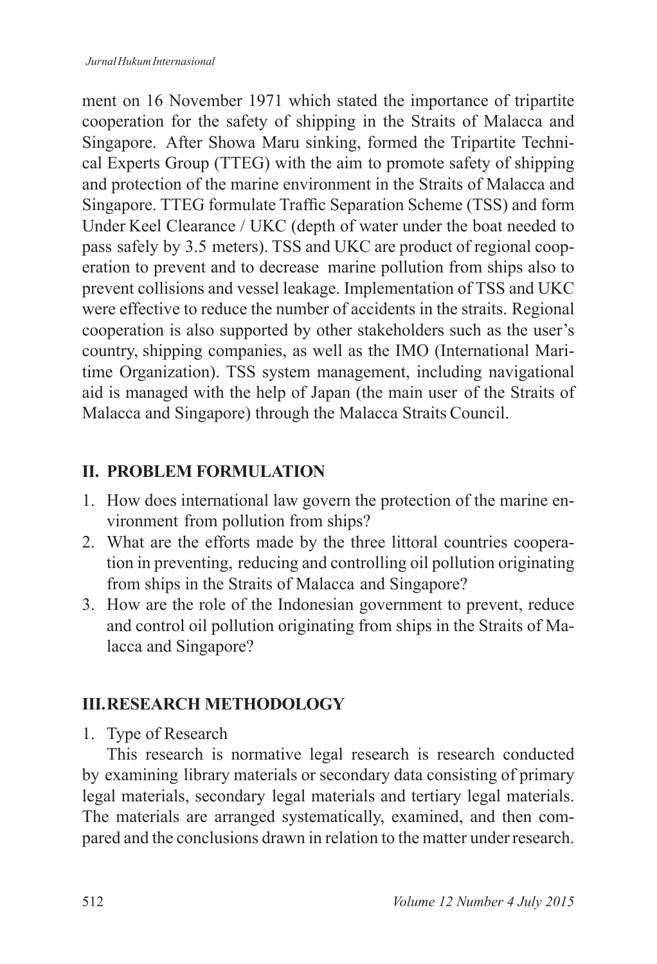ment on 16 November 1971 which stated the importance of tripartite cooperation for the safety of shipping in the Straits of Malacca and Singapore. After Showa Maru sinking, formed the Tripartite Technical Experts Group (TTEG) with the aim to promote safety of shipping and protection of the marine environment in the Straits of Malacca and Singapore. TTEG formulate Traffic Separation Scheme (TSS) and form Under Keel Clearance / UKC (depth of water under the boat needed to pass safely by 3.5 meters). TSS and UKC are product of regional cooperation to prevent and to decrease marine pollution from ships also to prevent collisions and vessel leakage. Implementation of TSS and UKC were effective to reduce the number of accidents in the straits. Regional cooperation is also supported by other stakeholders such as the user's country, shipping companies, as well as the IMO (International Maritime Organization). TSS system management, including navigational aid is managed with the help of Japan (the main user of the Straits of Malacca and Singapore) through the Malacca Straits Council.

### **II. PROBLEM FORMULATION**

- 1. How does international law govern the protection of the marine environment from pollution from ships?
- 2. What are the efforts made by the three littoral countries cooperation in preventing, reducing and controlling oil pollution originating from ships in the Straits of Malacca and Singapore?
- 3. How are the role of the Indonesian government to prevent, reduce and control oil pollution originating from ships in the Straits of Malacca and Singapore?

### **III. RESEARCH METHODOLOGY**

1. Type of Research

This research is normative legal research is research conducted by examining library materials or secondary data consisting of primary legal materials, secondary legal materials and tertiary legal materials. The materials are arranged systematically, examined, and then compared and the conclusions drawn in relation to the matter under research.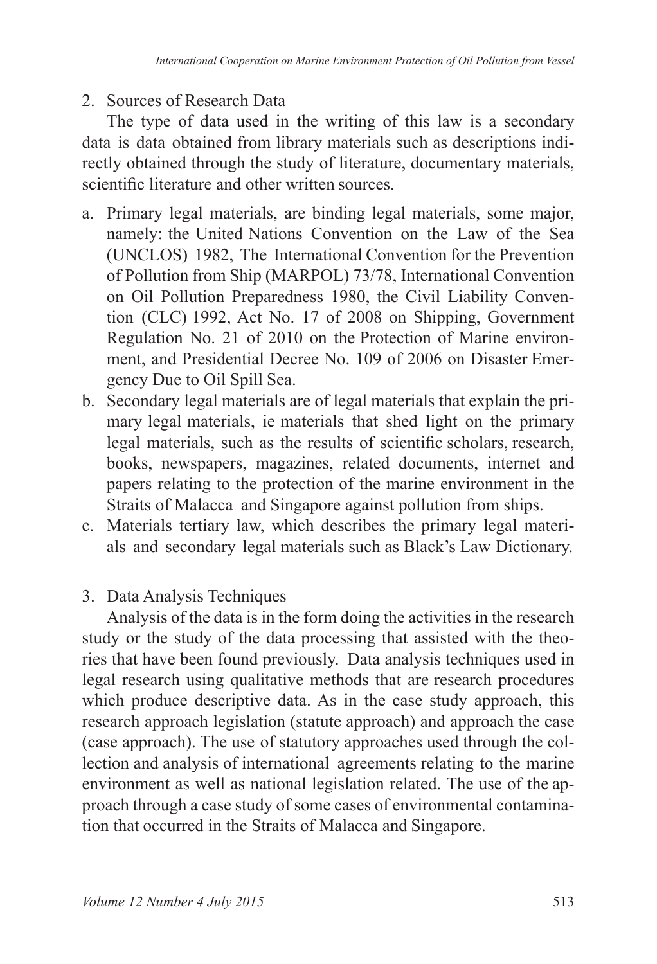## 2. Sources of Research Data

The type of data used in the writing of this law is a secondary data is data obtained from library materials such as descriptions indirectly obtained through the study of literature, documentary materials, scientific literature and other written sources.

- a. Primary legal materials, are binding legal materials, some major, namely: the United Nations Convention on the Law of the Sea (UNCLOS) 1982, The International Convention for the Prevention of Pollution from Ship (MARPOL) 73/78, International Convention on Oil Pollution Preparedness 1980, the Civil Liability Convention (CLC) 1992, Act No. 17 of 2008 on Shipping, Government Regulation No. 21 of 2010 on the Protection of Marine environment, and Presidential Decree No. 109 of 2006 on Disaster Emergency Due to Oil Spill Sea.
- b. Secondary legal materials are of legal materials that explain the primary legal materials, ie materials that shed light on the primary legal materials, such as the results of scientific scholars, research, books, newspapers, magazines, related documents, internet and papers relating to the protection of the marine environment in the Straits of Malacca and Singapore against pollution from ships.
- c. Materials tertiary law, which describes the primary legal materials and secondary legal materials such as Black's Law Dictionary.

### 3. Data Analysis Techniques

Analysis of the data is in the form doing the activities in the research study or the study of the data processing that assisted with the theories that have been found previously. Data analysis techniques used in legal research using qualitative methods that are research procedures which produce descriptive data. As in the case study approach, this research approach legislation (statute approach) and approach the case (case approach). The use of statutory approaches used through the collection and analysis of international agreements relating to the marine environment as well as national legislation related. The use of the approach through a case study of some cases of environmental contamination that occurred in the Straits of Malacca and Singapore.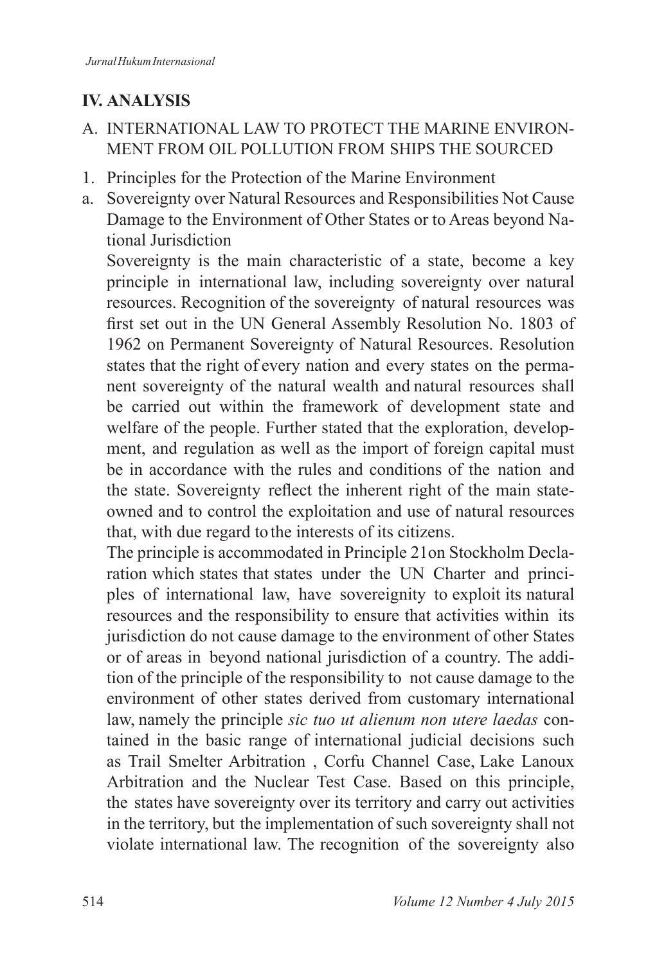# **IV. ANALYSIS**

### A. INTERNATIONAL LAW TO PROTECT THE MARINE ENVIRON-MENT FROM OIL POLLUTION FROM SHIPS THE SOURCED

- 1. Principles for the Protection of the Marine Environment
- a. Sovereignty over Natural Resources and Responsibilities Not Cause Damage to the Environment of Other States or to Areas beyond National Jurisdiction

 Sovereignty is the main characteristic of a state, become a key principle in international law, including sovereignty over natural resources. Recognition of the sovereignty of natural resources was first set out in the UN General Assembly Resolution No. 1803 of 1962 on Permanent Sovereignty of Natural Resources. Resolution states that the right of every nation and every states on the permanent sovereignty of the natural wealth and natural resources shall be carried out within the framework of development state and welfare of the people. Further stated that the exploration, development, and regulation as well as the import of foreign capital must be in accordance with the rules and conditions of the nation and the state. Sovereignty reflect the inherent right of the main stateowned and to control the exploitation and use of natural resources that, with due regard to the interests of its citizens.

 The principle is accommodated in Principle 21on Stockholm Declaration which states that states under the UN Charter and principles of international law, have sovereignity to exploit its natural resources and the responsibility to ensure that activities within its jurisdiction do not cause damage to the environment of other States or of areas in beyond national jurisdiction of a country. The addition of the principle of the responsibility to not cause damage to the environment of other states derived from customary international law, namely the principle *sic tuo ut alienum non utere laedas* contained in the basic range of international judicial decisions such as Trail Smelter Arbitration , Corfu Channel Case, Lake Lanoux Arbitration and the Nuclear Test Case. Based on this principle, the states have sovereignty over its territory and carry out activities in the territory, but the implementation of such sovereignty shall not violate international law. The recognition of the sovereignty also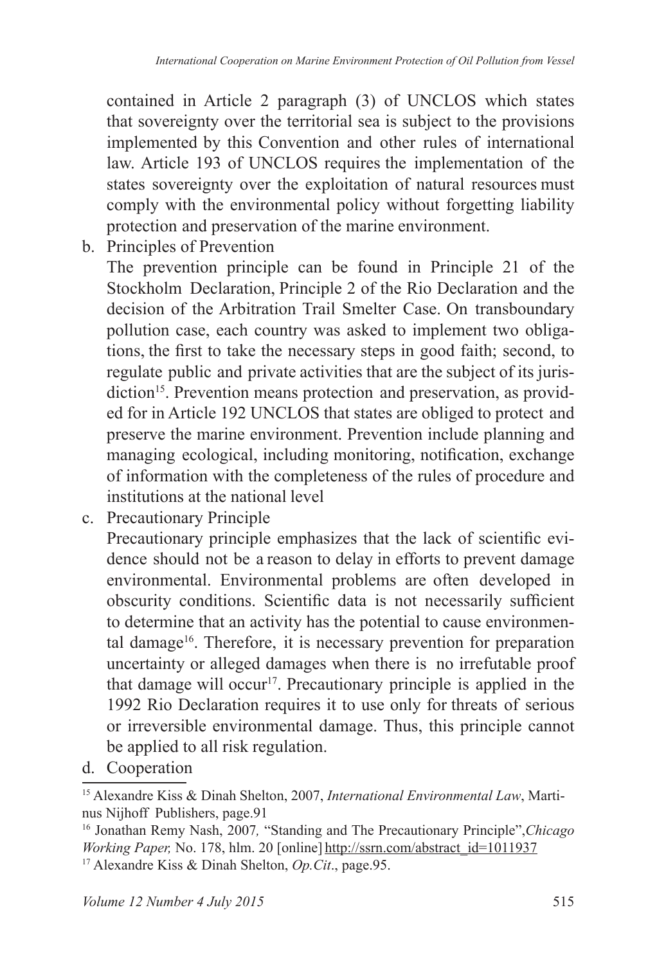contained in Article 2 paragraph (3) of UNCLOS which states that sovereignty over the territorial sea is subject to the provisions implemented by this Convention and other rules of international law. Article 193 of UNCLOS requires the implementation of the states sovereignty over the exploitation of natural resources must comply with the environmental policy without forgetting liability protection and preservation of the marine environment.

b. Principles of Prevention

 The prevention principle can be found in Principle 21 of the Stockholm Declaration, Principle 2 of the Rio Declaration and the decision of the Arbitration Trail Smelter Case. On transboundary pollution case, each country was asked to implement two obligations, the first to take the necessary steps in good faith; second, to regulate public and private activities that are the subject of its jurisdiction<sup>15</sup>. Prevention means protection and preservation, as provided for in Article 192 UNCLOS that states are obliged to protect and preserve the marine environment. Prevention include planning and managing ecological, including monitoring, notification, exchange of information with the completeness of the rules of procedure and institutions at the national level

c. Precautionary Principle

 Precautionary principle emphasizes that the lack of scientific evidence should not be a reason to delay in efforts to prevent damage environmental. Environmental problems are often developed in obscurity conditions. Scientific data is not necessarily sufficient to determine that an activity has the potential to cause environmental damage<sup>16</sup>. Therefore, it is necessary prevention for preparation uncertainty or alleged damages when there is no irrefutable proof that damage will occur<sup>17</sup>. Precautionary principle is applied in the 1992 Rio Declaration requires it to use only for threats of serious or irreversible environmental damage. Thus, this principle cannot be applied to all risk regulation.

d. Cooperation

<sup>15</sup> Alexandre Kiss & Dinah Shelton, 2007, *International Environmental Law*, Martinus Nijhoff Publishers, page.91

<sup>16</sup> Jonathan Remy Nash, 2007*,* "Standing and The Precautionary Principle",*Chicago Working Paper,* No. 178, hlm. 20 [online] http://ssrn.com/abstract\_id=1011937 17 Alexandre Kiss & Dinah Shelton, *Op.Cit*., page.95.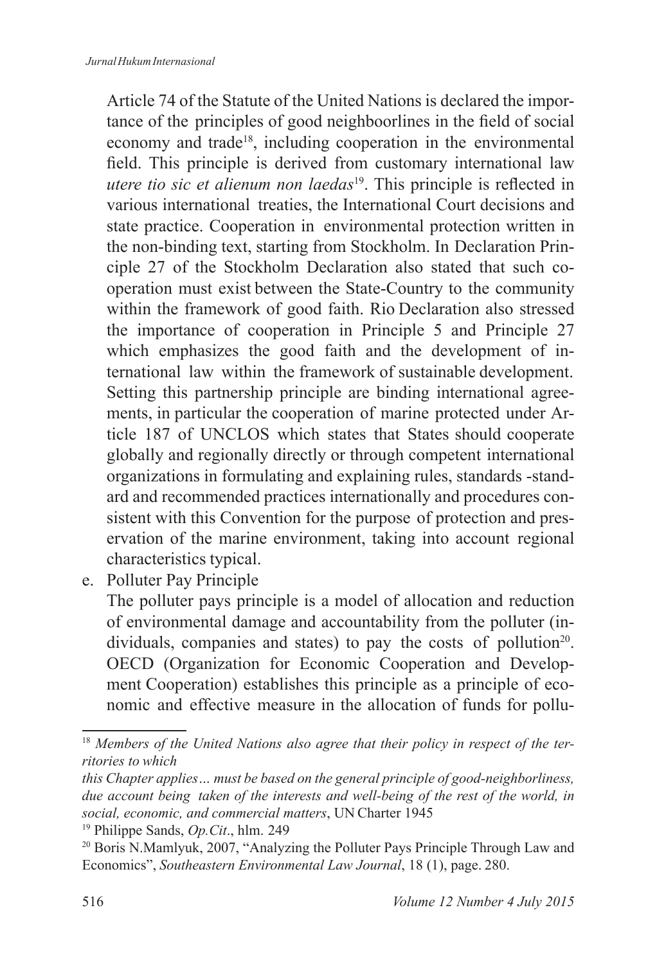Article 74 of the Statute of the United Nations is declared the importance of the principles of good neighboorlines in the field of social economy and trade<sup>18</sup>, including cooperation in the environmental field. This principle is derived from customary international law *utere tio sic et alienum non laedas*<sup>19</sup>. This principle is reflected in various international treaties, the International Court decisions and state practice. Cooperation in environmental protection written in the non-binding text, starting from Stockholm. In Declaration Principle 27 of the Stockholm Declaration also stated that such cooperation must exist between the State-Country to the community within the framework of good faith. Rio Declaration also stressed the importance of cooperation in Principle 5 and Principle 27 which emphasizes the good faith and the development of international law within the framework of sustainable development. Setting this partnership principle are binding international agreements, in particular the cooperation of marine protected under Article 187 of UNCLOS which states that States should cooperate globally and regionally directly or through competent international organizations in formulating and explaining rules, standards -standard and recommended practices internationally and procedures consistent with this Convention for the purpose of protection and preservation of the marine environment, taking into account regional characteristics typical.

e. Polluter Pay Principle

 The polluter pays principle is a model of allocation and reduction of environmental damage and accountability from the polluter (individuals, companies and states) to pay the costs of pollution<sup>20</sup>. OECD (Organization for Economic Cooperation and Development Cooperation) establishes this principle as a principle of economic and effective measure in the allocation of funds for pollu-

<sup>&</sup>lt;sup>18</sup> Members of the United Nations also agree that their policy in respect of the ter*ritories to which*

*this Chapter applies… must be based on the general principle of good-neighborliness, due account being taken of the interests and well-being of the rest of the world, in social, economic, and commercial matters*, UN Charter 1945

<sup>19</sup> Philippe Sands, *Op.Cit*., hlm. 249

<sup>20</sup> Boris N.Mamlyuk, 2007, "Analyzing the Polluter Pays Principle Through Law and Economics", *Southeastern Environmental Law Journal*, 18 (1), page. 280.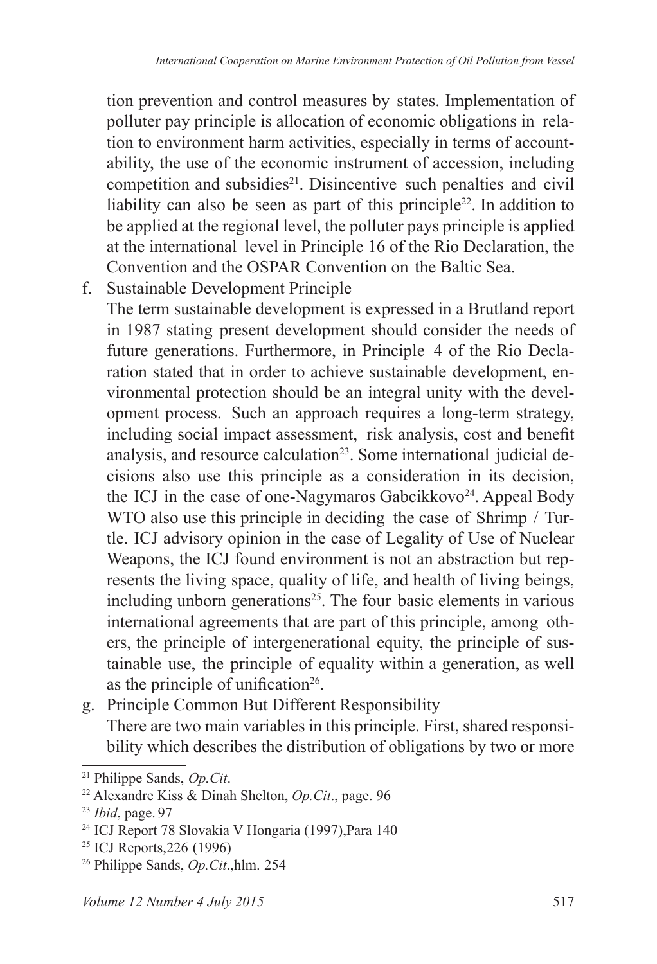tion prevention and control measures by states. Implementation of polluter pay principle is allocation of economic obligations in relation to environment harm activities, especially in terms of accountability, the use of the economic instrument of accession, including competition and subsidies<sup>21</sup>. Disincentive such penalties and civil liability can also be seen as part of this principle<sup>22</sup>. In addition to be applied at the regional level, the polluter pays principle is applied at the international level in Principle 16 of the Rio Declaration, the Convention and the OSPAR Convention on the Baltic Sea.

f. Sustainable Development Principle

 The term sustainable development is expressed in a Brutland report in 1987 stating present development should consider the needs of future generations. Furthermore, in Principle 4 of the Rio Declaration stated that in order to achieve sustainable development, environmental protection should be an integral unity with the development process. Such an approach requires a long-term strategy, including social impact assessment, risk analysis, cost and benefit analysis, and resource calculation<sup>23</sup>. Some international judicial decisions also use this principle as a consideration in its decision, the ICJ in the case of one-Nagymaros Gabcikkovo<sup>24</sup>. Appeal Body WTO also use this principle in deciding the case of Shrimp / Turtle. ICJ advisory opinion in the case of Legality of Use of Nuclear Weapons, the ICJ found environment is not an abstraction but represents the living space, quality of life, and health of living beings, including unborn generations<sup>25</sup>. The four basic elements in various international agreements that are part of this principle, among others, the principle of intergenerational equity, the principle of sustainable use, the principle of equality within a generation, as well as the principle of unification<sup>26</sup>.

g. Principle Common But Different Responsibility There are two main variables in this principle. First, shared responsibility which describes the distribution of obligations by two or more

<sup>21</sup> Philippe Sands, *Op.Cit*.

<sup>22</sup> Alexandre Kiss & Dinah Shelton, *Op.Cit*., page. 96

<sup>23</sup> *Ibid*, page. 97

<sup>24</sup> ICJ Report 78 Slovakia V Hongaria (1997),Para 140

<sup>25</sup> ICJ Reports,226 (1996)

<sup>26</sup> Philippe Sands, *Op.Cit*.,hlm. 254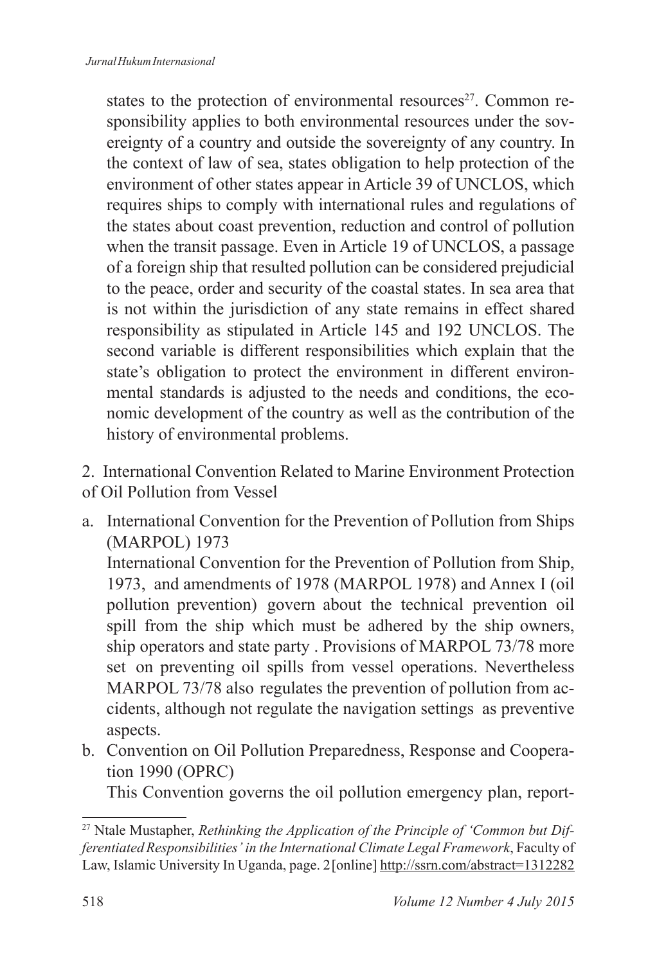states to the protection of environmental resources<sup>27</sup>. Common responsibility applies to both environmental resources under the sovereignty of a country and outside the sovereignty of any country. In the context of law of sea, states obligation to help protection of the environment of other states appear in Article 39 of UNCLOS, which requires ships to comply with international rules and regulations of the states about coast prevention, reduction and control of pollution when the transit passage. Even in Article 19 of UNCLOS, a passage of a foreign ship that resulted pollution can be considered prejudicial to the peace, order and security of the coastal states. In sea area that is not within the jurisdiction of any state remains in effect shared responsibility as stipulated in Article 145 and 192 UNCLOS. The second variable is different responsibilities which explain that the state's obligation to protect the environment in different environmental standards is adjusted to the needs and conditions, the economic development of the country as well as the contribution of the history of environmental problems.

- 2. International Convention Related to Marine Environment Protection of Oil Pollution from Vessel
- a. International Convention for the Prevention of Pollution from Ships (MARPOL) 1973

 International Convention for the Prevention of Pollution from Ship, 1973, and amendments of 1978 (MARPOL 1978) and Annex I (oil pollution prevention) govern about the technical prevention oil spill from the ship which must be adhered by the ship owners, ship operators and state party . Provisions of MARPOL 73/78 more set on preventing oil spills from vessel operations. Nevertheless MARPOL 73/78 also regulates the prevention of pollution from accidents, although not regulate the navigation settings as preventive aspects.

b. Convention on Oil Pollution Preparedness, Response and Cooperation 1990 (OPRC)

This Convention governs the oil pollution emergency plan, report-

<sup>27</sup> Ntale Mustapher, *Rethinking the Application of the Principle of 'Common but Differentiated Responsibilities' in the International Climate Legal Framework*, Faculty of Law, Islamic University In Uganda, page. 2 [online] http://ssrn.com/abstract=1312282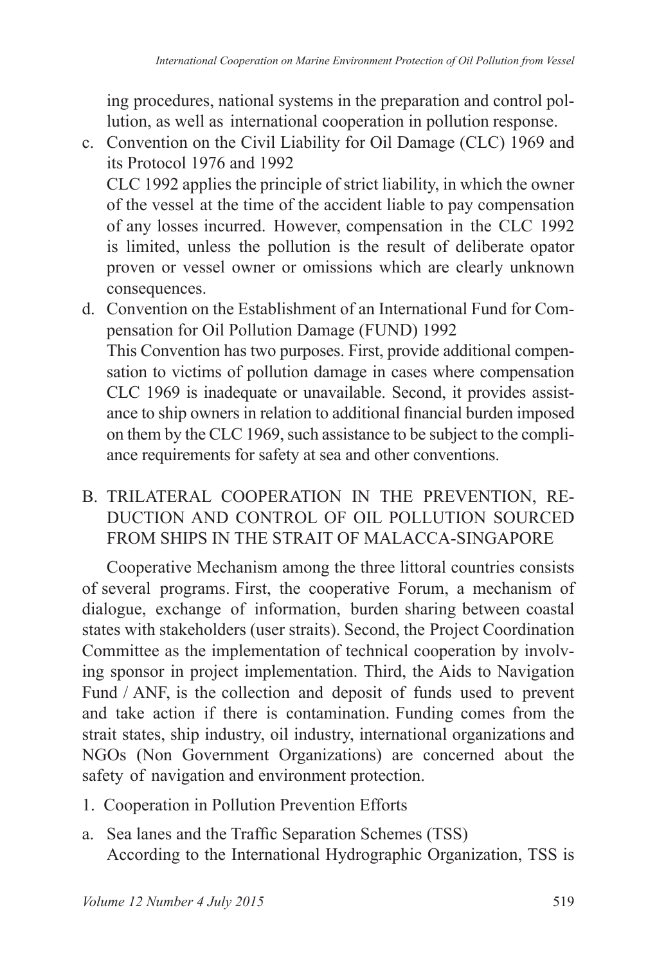ing procedures, national systems in the preparation and control pollution, as well as international cooperation in pollution response.

- c. Convention on the Civil Liability for Oil Damage (CLC) 1969 and its Protocol 1976 and 1992 CLC 1992 applies the principle of strict liability, in which the owner of the vessel at the time of the accident liable to pay compensation of any losses incurred. However, compensation in the CLC 1992 is limited, unless the pollution is the result of deliberate opator proven or vessel owner or omissions which are clearly unknown consequences.
- d. Convention on the Establishment of an International Fund for Compensation for Oil Pollution Damage (FUND) 1992 This Convention has two purposes. First, provide additional compensation to victims of pollution damage in cases where compensation CLC 1969 is inadequate or unavailable. Second, it provides assistance to ship owners in relation to additional financial burden imposed on them by the CLC 1969, such assistance to be subject to the compliance requirements for safety at sea and other conventions.
- B. TRILATERAL COOPERATION IN THE PREVENTION, RE-DUCTION AND CONTROL OF OIL POLLUTION SOURCED FROM SHIPS IN THE STRAIT OF MALACCA-SINGAPORE

Cooperative Mechanism among the three littoral countries consists of several programs. First, the cooperative Forum, a mechanism of dialogue, exchange of information, burden sharing between coastal states with stakeholders (user straits). Second, the Project Coordination Committee as the implementation of technical cooperation by involving sponsor in project implementation. Third, the Aids to Navigation Fund / ANF, is the collection and deposit of funds used to prevent and take action if there is contamination. Funding comes from the strait states, ship industry, oil industry, international organizations and NGOs (Non Government Organizations) are concerned about the safety of navigation and environment protection.

- 1. Cooperation in Pollution Prevention Efforts
- a. Sea lanes and the Traffic Separation Schemes (TSS) According to the International Hydrographic Organization, TSS is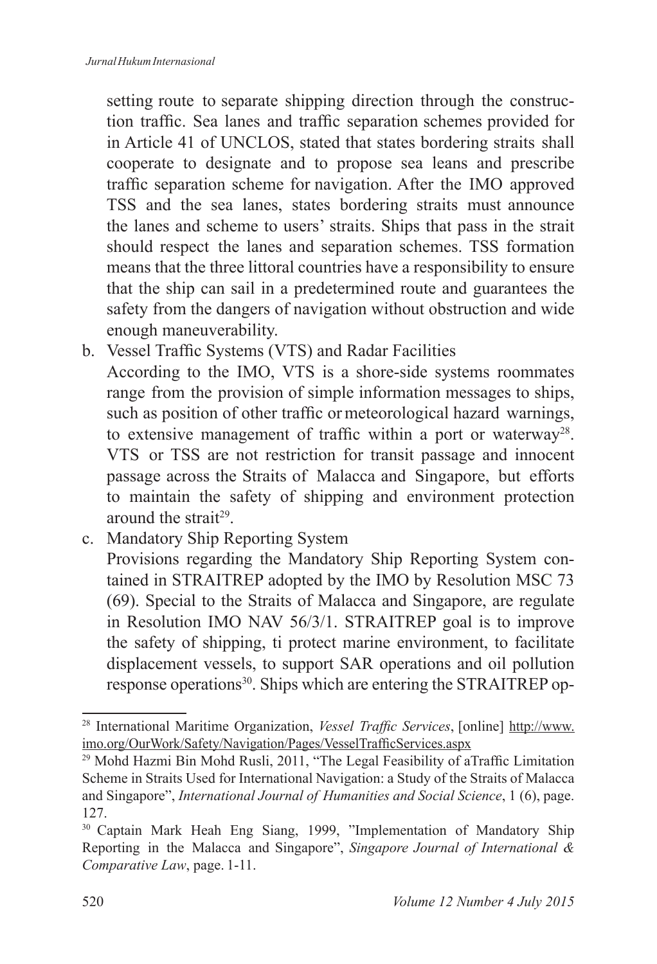setting route to separate shipping direction through the construction traffic. Sea lanes and traffic separation schemes provided for in Article 41 of UNCLOS, stated that states bordering straits shall cooperate to designate and to propose sea leans and prescribe traffic separation scheme for navigation. After the IMO approved TSS and the sea lanes, states bordering straits must announce the lanes and scheme to users' straits. Ships that pass in the strait should respect the lanes and separation schemes. TSS formation means that the three littoral countries have a responsibility to ensure that the ship can sail in a predetermined route and guarantees the safety from the dangers of navigation without obstruction and wide enough maneuverability.

b. Vessel Traffic Systems (VTS) and Radar Facilities

 According to the IMO, VTS is a shore-side systems roommates range from the provision of simple information messages to ships, such as position of other traffic or meteorological hazard warnings, to extensive management of traffic within a port or waterway<sup>28</sup>. VTS or TSS are not restriction for transit passage and innocent passage across the Straits of Malacca and Singapore, but efforts to maintain the safety of shipping and environment protection around the strait<sup>29</sup>.

c. Mandatory Ship Reporting System

 Provisions regarding the Mandatory Ship Reporting System contained in STRAITREP adopted by the IMO by Resolution MSC 73 (69). Special to the Straits of Malacca and Singapore, are regulate in Resolution IMO NAV 56/3/1. STRAITREP goal is to improve the safety of shipping, ti protect marine environment, to facilitate displacement vessels, to support SAR operations and oil pollution response operations<sup>30</sup>. Ships which are entering the STRAITREP op-

<sup>28</sup> International Maritime Organization, *Vessel Traffic Services*, [online] http://www. imo.org/OurWork/Safety/Navigation/Pages/VesselTrafficServices.aspx

<sup>&</sup>lt;sup>29</sup> Mohd Hazmi Bin Mohd Rusli, 2011, "The Legal Feasibility of aTraffic Limitation Scheme in Straits Used for International Navigation: a Study of the Straits of Malacca and Singapore", *International Journal of Humanities and Social Science*, 1 (6), page. 127.

<sup>&</sup>lt;sup>30</sup> Captain Mark Heah Eng Siang, 1999, "Implementation of Mandatory Ship Reporting in the Malacca and Singapore", *Singapore Journal of International & Comparative Law*, page. 1-11.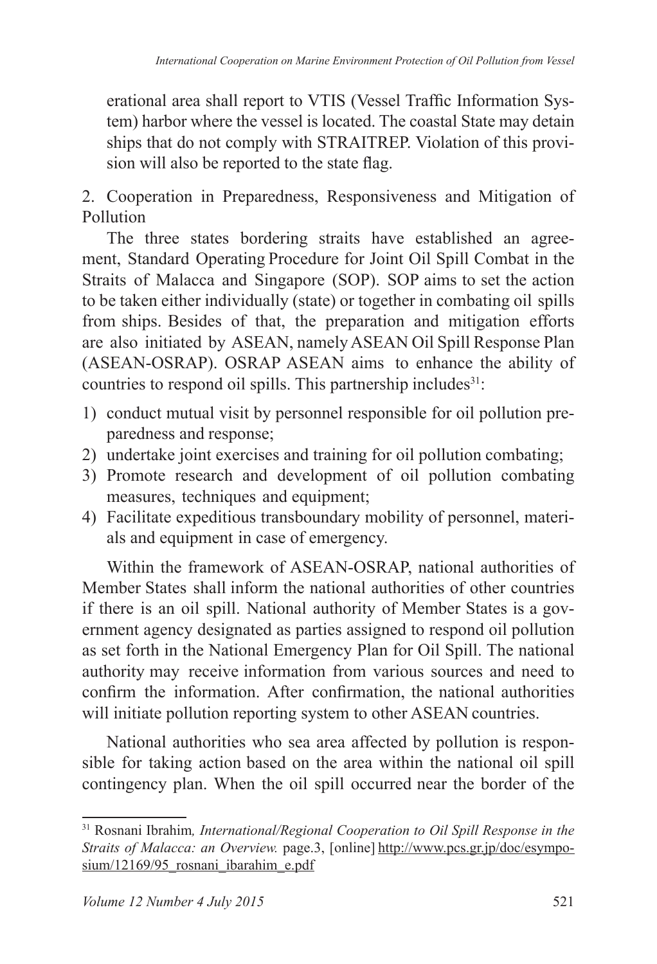erational area shall report to VTIS (Vessel Traffic Information System) harbor where the vessel is located. The coastal State may detain ships that do not comply with STRAITREP. Violation of this provision will also be reported to the state flag.

2. Cooperation in Preparedness, Responsiveness and Mitigation of Pollution

The three states bordering straits have established an agreement, Standard Operating Procedure for Joint Oil Spill Combat in the Straits of Malacca and Singapore (SOP). SOP aims to set the action to be taken either individually (state) or together in combating oil spills from ships. Besides of that, the preparation and mitigation efforts are also initiated by ASEAN, namely ASEAN Oil Spill Response Plan (ASEAN-OSRAP). OSRAP ASEAN aims to enhance the ability of countries to respond oil spills. This partnership includes $31$ :

- 1) conduct mutual visit by personnel responsible for oil pollution preparedness and response;
- 2) undertake joint exercises and training for oil pollution combating;
- 3) Promote research and development of oil pollution combating measures, techniques and equipment;
- 4) Facilitate expeditious transboundary mobility of personnel, materials and equipment in case of emergency.

Within the framework of ASEAN-OSRAP, national authorities of Member States shall inform the national authorities of other countries if there is an oil spill. National authority of Member States is a government agency designated as parties assigned to respond oil pollution as set forth in the National Emergency Plan for Oil Spill. The national authority may receive information from various sources and need to confirm the information. After confirmation, the national authorities will initiate pollution reporting system to other ASEAN countries.

National authorities who sea area affected by pollution is responsible for taking action based on the area within the national oil spill contingency plan. When the oil spill occurred near the border of the

<sup>31</sup> Rosnani Ibrahim*, International/Regional Cooperation to Oil Spill Response in the Straits of Malacca: an Overview.* page.3, [online] http://www.pcs.gr.jp/doc/esymposium/12169/95 rosnani\_ibarahim\_e.pdf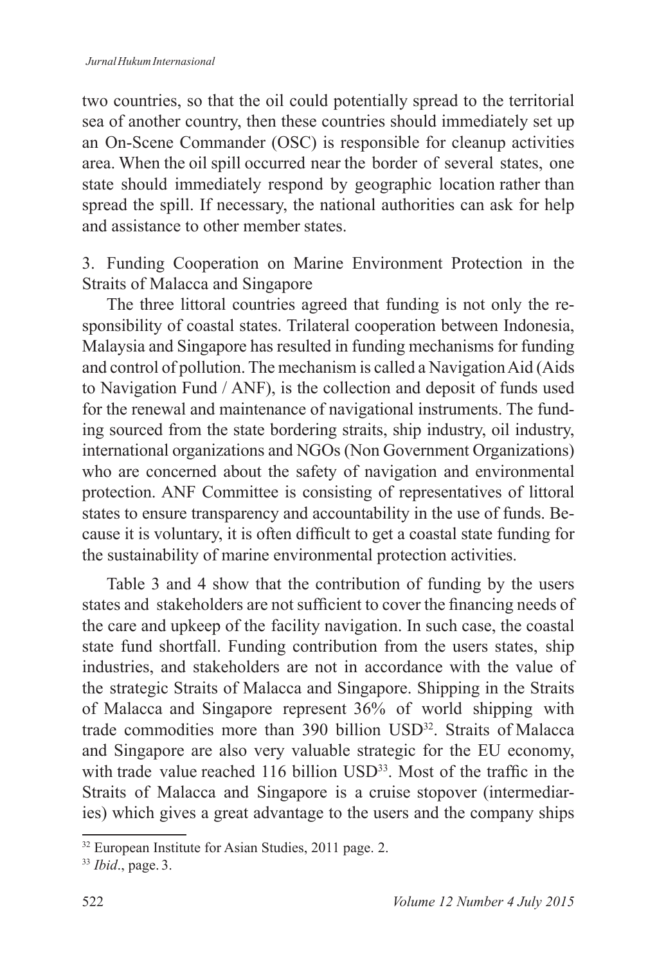two countries, so that the oil could potentially spread to the territorial sea of another country, then these countries should immediately set up an On-Scene Commander (OSC) is responsible for cleanup activities area. When the oil spill occurred near the border of several states, one state should immediately respond by geographic location rather than spread the spill. If necessary, the national authorities can ask for help and assistance to other member states.

3. Funding Cooperation on Marine Environment Protection in the Straits of Malacca and Singapore

The three littoral countries agreed that funding is not only the responsibility of coastal states. Trilateral cooperation between Indonesia, Malaysia and Singapore has resulted in funding mechanisms for funding and control of pollution. The mechanism is called a Navigation Aid (Aids to Navigation Fund / ANF), is the collection and deposit of funds used for the renewal and maintenance of navigational instruments. The funding sourced from the state bordering straits, ship industry, oil industry, international organizations and NGOs (Non Government Organizations) who are concerned about the safety of navigation and environmental protection. ANF Committee is consisting of representatives of littoral states to ensure transparency and accountability in the use of funds. Because it is voluntary, it is often difficult to get a coastal state funding for the sustainability of marine environmental protection activities.

Table 3 and 4 show that the contribution of funding by the users states and stakeholders are not sufficient to cover the financing needs of the care and upkeep of the facility navigation. In such case, the coastal state fund shortfall. Funding contribution from the users states, ship industries, and stakeholders are not in accordance with the value of the strategic Straits of Malacca and Singapore. Shipping in the Straits of Malacca and Singapore represent 36% of world shipping with trade commodities more than 390 billion USD<sup>32</sup>. Straits of Malacca and Singapore are also very valuable strategic for the EU economy, with trade value reached 116 billion USD<sup>33</sup>. Most of the traffic in the Straits of Malacca and Singapore is a cruise stopover (intermediaries) which gives a great advantage to the users and the company ships

<sup>32</sup> European Institute for Asian Studies, 2011 page. 2.

<sup>33</sup> *Ibid*., page. 3.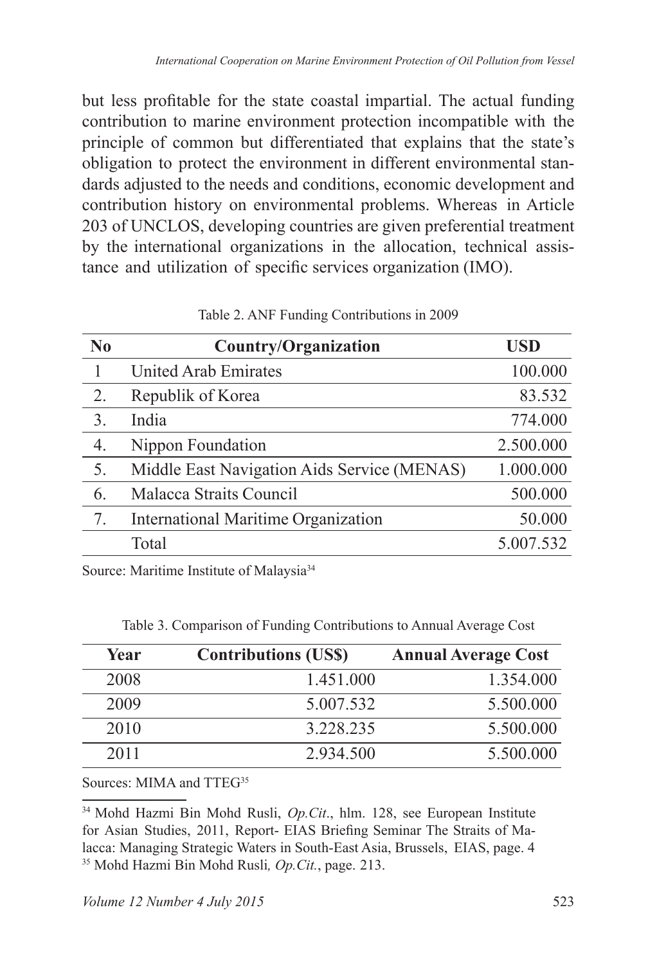but less profitable for the state coastal impartial. The actual funding contribution to marine environment protection incompatible with the principle of common but differentiated that explains that the state's obligation to protect the environment in different environmental standards adjusted to the needs and conditions, economic development and contribution history on environmental problems. Whereas in Article 203 of UNCLOS, developing countries are given preferential treatment by the international organizations in the allocation, technical assistance and utilization of specific services organization (IMO).

| $\bf No$         | <b>Country/Organization</b>                 | USD       |
|------------------|---------------------------------------------|-----------|
|                  | <b>United Arab Emirates</b>                 | 100.000   |
| 2.               | Republik of Korea                           | 83.532    |
| $\overline{3}$ . | India                                       | 774.000   |
| 4.               | Nippon Foundation                           | 2.500.000 |
| 5.               | Middle East Navigation Aids Service (MENAS) | 1.000.000 |
| 6.               | Malacca Straits Council                     | 500.000   |
| 7.               | International Maritime Organization         | 50.000    |
|                  | Total                                       | 5.007.532 |

Table 2. ANF Funding Contributions in 2009

Source: Maritime Institute of Malaysia<sup>34</sup>

|  | Table 3. Comparison of Funding Contributions to Annual Average Cost |  |  |
|--|---------------------------------------------------------------------|--|--|
|  |                                                                     |  |  |

| Year | <b>Contributions (US\$)</b> | <b>Annual Average Cost</b> |
|------|-----------------------------|----------------------------|
| 2008 | 1.451.000                   | 1.354.000                  |
| 2009 | 5.007.532                   | 5.500.000                  |
| 2010 | 3 228 235                   | 5.500.000                  |
| 2011 | 2 934 500                   | 5.500.000                  |

### Sources: MIMA and TTEG<sup>35</sup>

<sup>34</sup> Mohd Hazmi Bin Mohd Rusli, *Op.Cit*., hlm. 128, see European Institute for Asian Studies, 2011, Report- EIAS Briefing Seminar The Straits of Malacca: Managing Strategic Waters in South-East Asia, Brussels, EIAS, page. 4 35 Mohd Hazmi Bin Mohd Rusli*, Op.Cit.*, page. 213.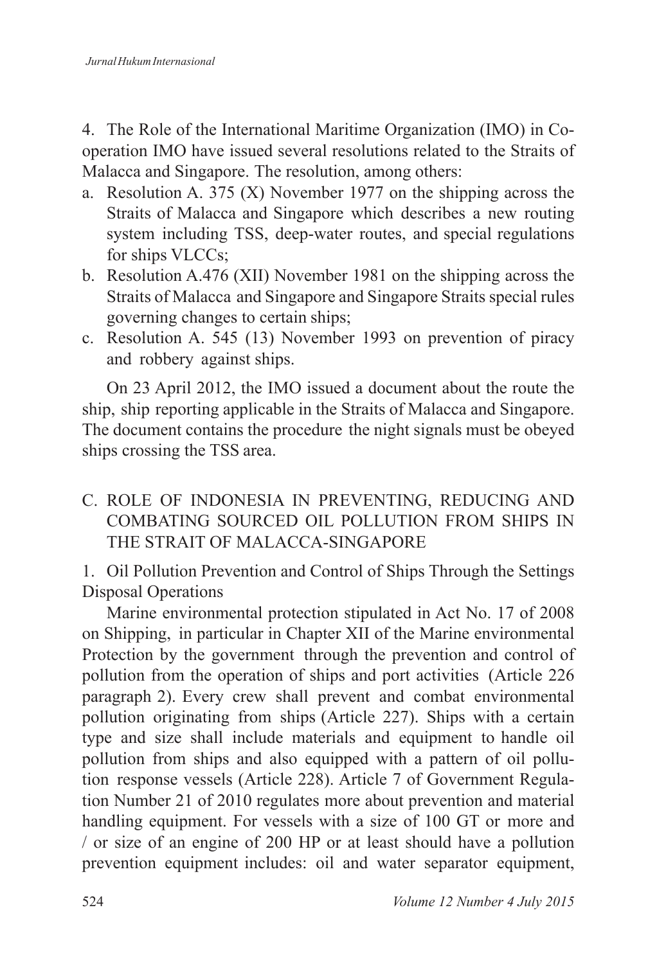4. The Role of the International Maritime Organization (IMO) in Cooperation IMO have issued several resolutions related to the Straits of Malacca and Singapore. The resolution, among others:

- a. Resolution A. 375 (X) November 1977 on the shipping across the Straits of Malacca and Singapore which describes a new routing system including TSS, deep-water routes, and special regulations for ships VLCCs;
- b. Resolution A.476 (XII) November 1981 on the shipping across the Straits of Malacca and Singapore and Singapore Straits special rules governing changes to certain ships;
- c. Resolution A. 545 (13) November 1993 on prevention of piracy and robbery against ships.

On 23 April 2012, the IMO issued a document about the route the ship, ship reporting applicable in the Straits of Malacca and Singapore. The document contains the procedure the night signals must be obeyed ships crossing the TSS area.

C. ROLE OF INDONESIA IN PREVENTING, REDUCING AND COMBATING SOURCED OIL POLLUTION FROM SHIPS IN THE STRAIT OF MALACCA-SINGAPORE

1. Oil Pollution Prevention and Control of Ships Through the Settings Disposal Operations

Marine environmental protection stipulated in Act No. 17 of 2008 on Shipping, in particular in Chapter XII of the Marine environmental Protection by the government through the prevention and control of pollution from the operation of ships and port activities (Article 226 paragraph 2). Every crew shall prevent and combat environmental pollution originating from ships (Article 227). Ships with a certain type and size shall include materials and equipment to handle oil pollution from ships and also equipped with a pattern of oil pollution response vessels (Article 228). Article 7 of Government Regulation Number 21 of 2010 regulates more about prevention and material handling equipment. For vessels with a size of 100 GT or more and / or size of an engine of 200 HP or at least should have a pollution prevention equipment includes: oil and water separator equipment,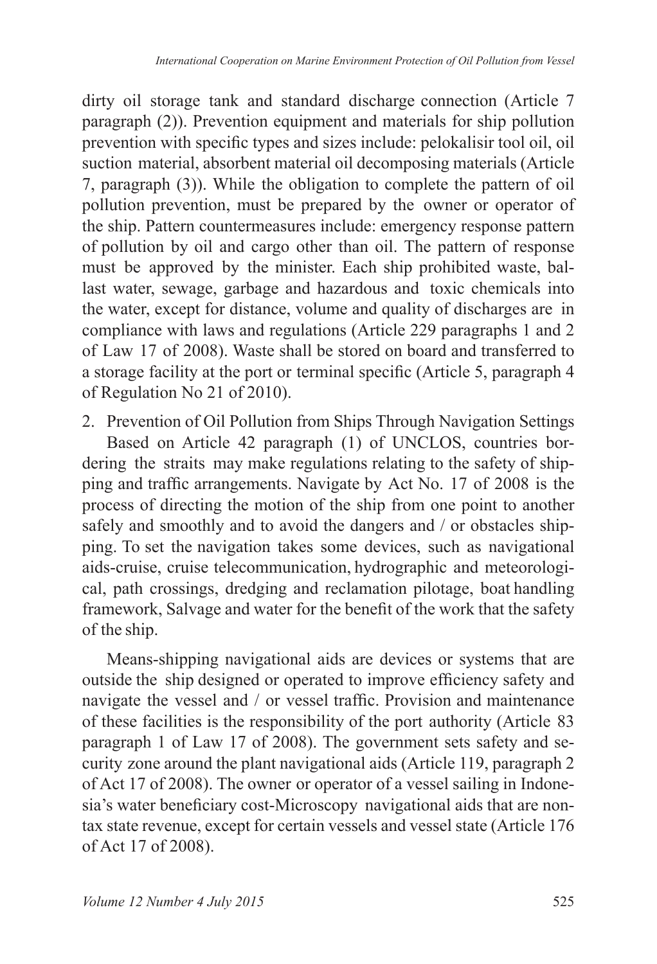dirty oil storage tank and standard discharge connection (Article 7 paragraph (2)). Prevention equipment and materials for ship pollution prevention with specific types and sizes include: pelokalisir tool oil, oil suction material, absorbent material oil decomposing materials (Article 7, paragraph (3)). While the obligation to complete the pattern of oil pollution prevention, must be prepared by the owner or operator of the ship. Pattern countermeasures include: emergency response pattern of pollution by oil and cargo other than oil. The pattern of response must be approved by the minister. Each ship prohibited waste, ballast water, sewage, garbage and hazardous and toxic chemicals into the water, except for distance, volume and quality of discharges are in compliance with laws and regulations (Article 229 paragraphs 1 and 2 of Law 17 of 2008). Waste shall be stored on board and transferred to a storage facility at the port or terminal specific (Article 5, paragraph 4 of Regulation No 21 of 2010).

2. Prevention of Oil Pollution from Ships Through Navigation Settings Based on Article 42 paragraph (1) of UNCLOS, countries bordering the straits may make regulations relating to the safety of shipping and traffic arrangements. Navigate by Act No. 17 of 2008 is the process of directing the motion of the ship from one point to another safely and smoothly and to avoid the dangers and / or obstacles shipping. To set the navigation takes some devices, such as navigational aids-cruise, cruise telecommunication, hydrographic and meteorological, path crossings, dredging and reclamation pilotage, boat handling framework, Salvage and water for the benefit of the work that the safety of the ship.

Means-shipping navigational aids are devices or systems that are outside the ship designed or operated to improve efficiency safety and navigate the vessel and / or vessel traffic. Provision and maintenance of these facilities is the responsibility of the port authority (Article 83 paragraph 1 of Law 17 of 2008). The government sets safety and security zone around the plant navigational aids (Article 119, paragraph 2 of Act 17 of 2008). The owner or operator of a vessel sailing in Indonesia's water beneficiary cost-Microscopy navigational aids that are nontax state revenue, except for certain vessels and vessel state (Article 176 of Act 17 of 2008).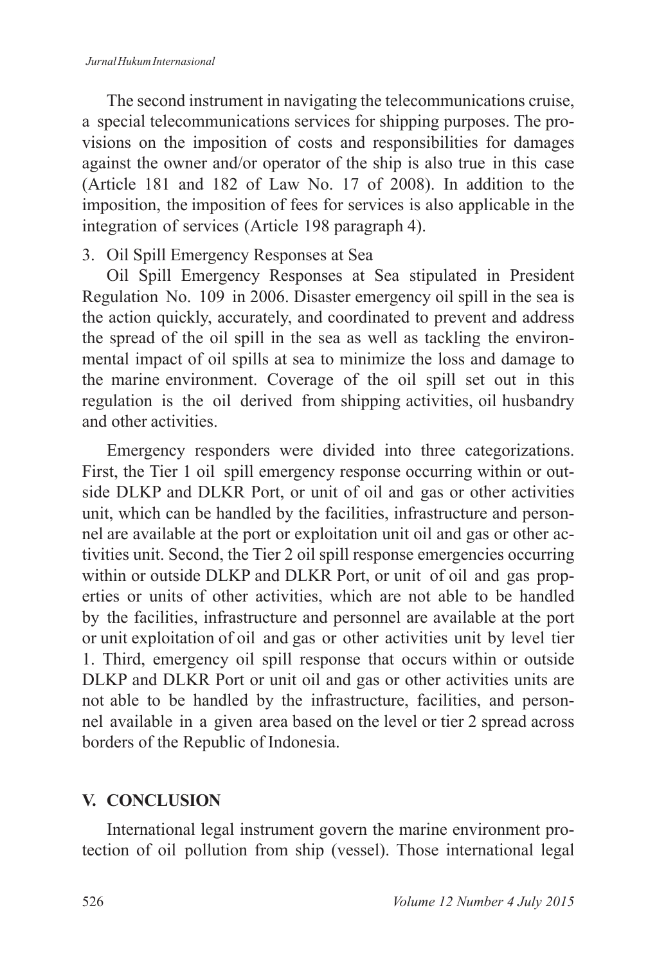The second instrument in navigating the telecommunications cruise, a special telecommunications services for shipping purposes. The provisions on the imposition of costs and responsibilities for damages against the owner and/or operator of the ship is also true in this case (Article 181 and 182 of Law No. 17 of 2008). In addition to the imposition, the imposition of fees for services is also applicable in the integration of services (Article 198 paragraph 4).

### 3. Oil Spill Emergency Responses at Sea

Oil Spill Emergency Responses at Sea stipulated in President Regulation No. 109 in 2006. Disaster emergency oil spill in the sea is the action quickly, accurately, and coordinated to prevent and address the spread of the oil spill in the sea as well as tackling the environmental impact of oil spills at sea to minimize the loss and damage to the marine environment. Coverage of the oil spill set out in this regulation is the oil derived from shipping activities, oil husbandry and other activities.

Emergency responders were divided into three categorizations. First, the Tier 1 oil spill emergency response occurring within or outside DLKP and DLKR Port, or unit of oil and gas or other activities unit, which can be handled by the facilities, infrastructure and personnel are available at the port or exploitation unit oil and gas or other activities unit. Second, the Tier 2 oil spill response emergencies occurring within or outside DLKP and DLKR Port, or unit of oil and gas properties or units of other activities, which are not able to be handled by the facilities, infrastructure and personnel are available at the port or unit exploitation of oil and gas or other activities unit by level tier 1. Third, emergency oil spill response that occurs within or outside DLKP and DLKR Port or unit oil and gas or other activities units are not able to be handled by the infrastructure, facilities, and personnel available in a given area based on the level or tier 2 spread across borders of the Republic of Indonesia.

## **V. CONCLUSION**

International legal instrument govern the marine environment protection of oil pollution from ship (vessel). Those international legal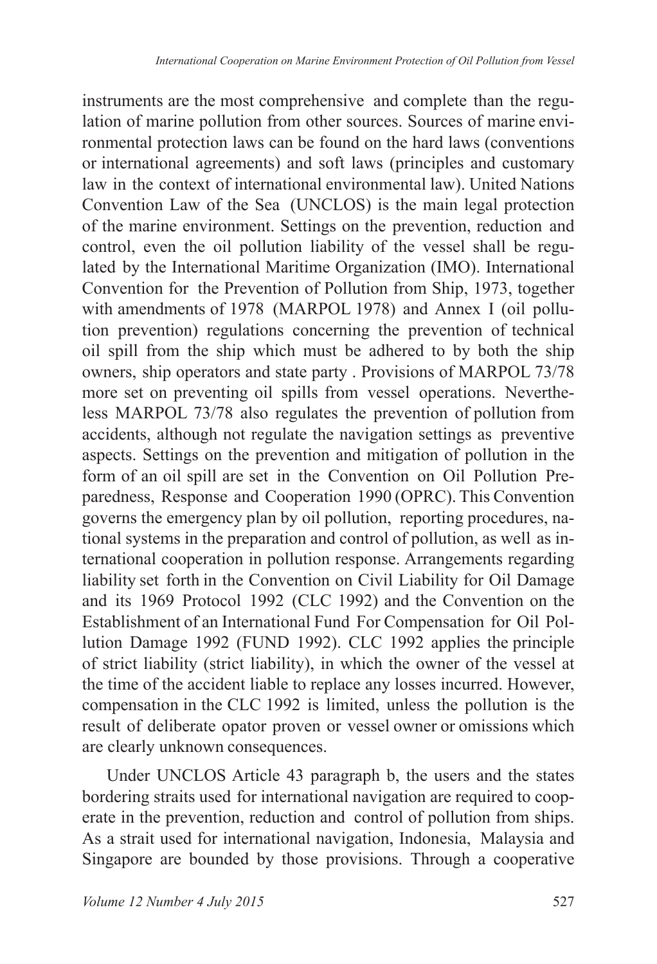instruments are the most comprehensive and complete than the regulation of marine pollution from other sources. Sources of marine environmental protection laws can be found on the hard laws (conventions or international agreements) and soft laws (principles and customary law in the context of international environmental law). United Nations Convention Law of the Sea (UNCLOS) is the main legal protection of the marine environment. Settings on the prevention, reduction and control, even the oil pollution liability of the vessel shall be regulated by the International Maritime Organization (IMO). International Convention for the Prevention of Pollution from Ship, 1973, together with amendments of 1978 (MARPOL 1978) and Annex I (oil pollution prevention) regulations concerning the prevention of technical oil spill from the ship which must be adhered to by both the ship owners, ship operators and state party . Provisions of MARPOL 73/78 more set on preventing oil spills from vessel operations. Nevertheless MARPOL 73/78 also regulates the prevention of pollution from accidents, although not regulate the navigation settings as preventive aspects. Settings on the prevention and mitigation of pollution in the form of an oil spill are set in the Convention on Oil Pollution Preparedness, Response and Cooperation 1990 (OPRC). This Convention governs the emergency plan by oil pollution, reporting procedures, national systems in the preparation and control of pollution, as well as international cooperation in pollution response. Arrangements regarding liability set forth in the Convention on Civil Liability for Oil Damage and its 1969 Protocol 1992 (CLC 1992) and the Convention on the Establishment of an International Fund For Compensation for Oil Pollution Damage 1992 (FUND 1992). CLC 1992 applies the principle of strict liability (strict liability), in which the owner of the vessel at the time of the accident liable to replace any losses incurred. However, compensation in the CLC 1992 is limited, unless the pollution is the result of deliberate opator proven or vessel owner or omissions which are clearly unknown consequences.

Under UNCLOS Article 43 paragraph b, the users and the states bordering straits used for international navigation are required to cooperate in the prevention, reduction and control of pollution from ships. As a strait used for international navigation, Indonesia, Malaysia and Singapore are bounded by those provisions. Through a cooperative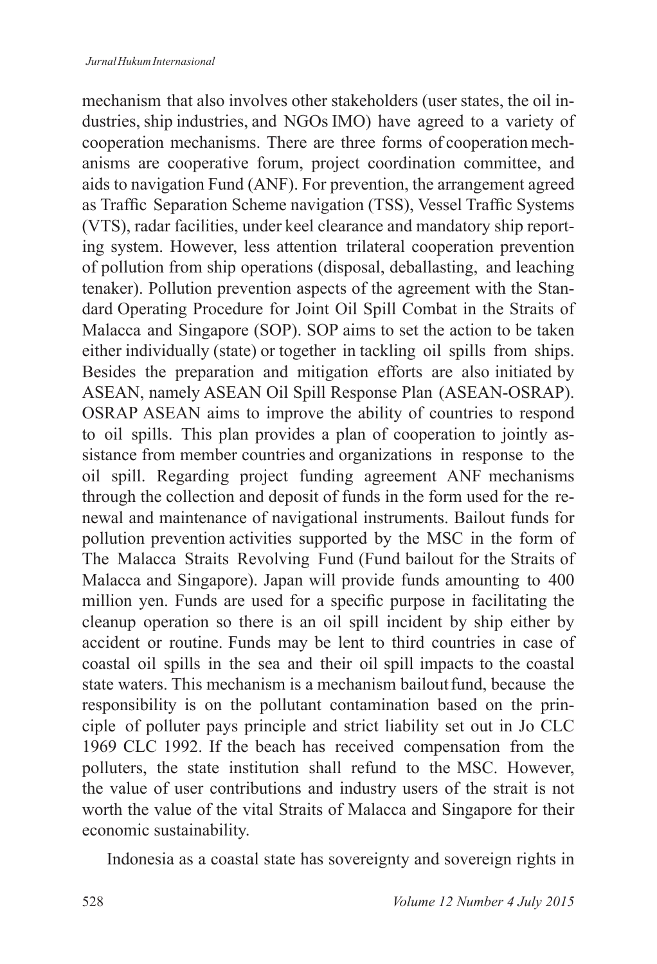mechanism that also involves other stakeholders (user states, the oil industries, ship industries, and NGOs IMO) have agreed to a variety of cooperation mechanisms. There are three forms of cooperation mechanisms are cooperative forum, project coordination committee, and aids to navigation Fund (ANF). For prevention, the arrangement agreed as Traffic Separation Scheme navigation (TSS), Vessel Traffic Systems (VTS), radar facilities, under keel clearance and mandatory ship reporting system. However, less attention trilateral cooperation prevention of pollution from ship operations (disposal, deballasting, and leaching tenaker). Pollution prevention aspects of the agreement with the Standard Operating Procedure for Joint Oil Spill Combat in the Straits of Malacca and Singapore (SOP). SOP aims to set the action to be taken either individually (state) or together in tackling oil spills from ships. Besides the preparation and mitigation efforts are also initiated by ASEAN, namely ASEAN Oil Spill Response Plan (ASEAN-OSRAP). OSRAP ASEAN aims to improve the ability of countries to respond to oil spills. This plan provides a plan of cooperation to jointly assistance from member countries and organizations in response to the oil spill. Regarding project funding agreement ANF mechanisms through the collection and deposit of funds in the form used for the renewal and maintenance of navigational instruments. Bailout funds for pollution prevention activities supported by the MSC in the form of The Malacca Straits Revolving Fund (Fund bailout for the Straits of Malacca and Singapore). Japan will provide funds amounting to 400 million yen. Funds are used for a specific purpose in facilitating the cleanup operation so there is an oil spill incident by ship either by accident or routine. Funds may be lent to third countries in case of coastal oil spills in the sea and their oil spill impacts to the coastal state waters. This mechanism is a mechanism bailout fund, because the responsibility is on the pollutant contamination based on the principle of polluter pays principle and strict liability set out in Jo CLC 1969 CLC 1992. If the beach has received compensation from the polluters, the state institution shall refund to the MSC. However, the value of user contributions and industry users of the strait is not worth the value of the vital Straits of Malacca and Singapore for their economic sustainability.

Indonesia as a coastal state has sovereignty and sovereign rights in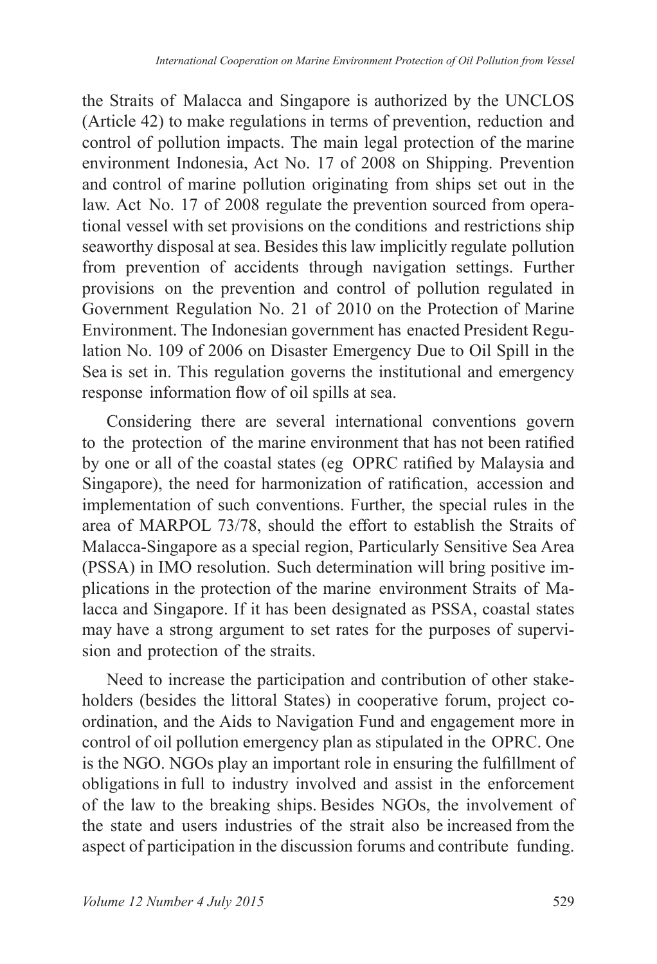the Straits of Malacca and Singapore is authorized by the UNCLOS (Article 42) to make regulations in terms of prevention, reduction and control of pollution impacts. The main legal protection of the marine environment Indonesia, Act No. 17 of 2008 on Shipping. Prevention and control of marine pollution originating from ships set out in the law. Act No. 17 of 2008 regulate the prevention sourced from operational vessel with set provisions on the conditions and restrictions ship seaworthy disposal at sea. Besides this law implicitly regulate pollution from prevention of accidents through navigation settings. Further provisions on the prevention and control of pollution regulated in Government Regulation No. 21 of 2010 on the Protection of Marine Environment. The Indonesian government has enacted President Regulation No. 109 of 2006 on Disaster Emergency Due to Oil Spill in the Sea is set in. This regulation governs the institutional and emergency response information flow of oil spills at sea.

Considering there are several international conventions govern to the protection of the marine environment that has not been ratified by one or all of the coastal states (eg OPRC ratified by Malaysia and Singapore), the need for harmonization of ratification, accession and implementation of such conventions. Further, the special rules in the area of MARPOL 73/78, should the effort to establish the Straits of Malacca-Singapore as a special region, Particularly Sensitive Sea Area (PSSA) in IMO resolution. Such determination will bring positive implications in the protection of the marine environment Straits of Malacca and Singapore. If it has been designated as PSSA, coastal states may have a strong argument to set rates for the purposes of supervision and protection of the straits.

Need to increase the participation and contribution of other stakeholders (besides the littoral States) in cooperative forum, project coordination, and the Aids to Navigation Fund and engagement more in control of oil pollution emergency plan as stipulated in the OPRC. One is the NGO. NGOs play an important role in ensuring the fulfillment of obligations in full to industry involved and assist in the enforcement of the law to the breaking ships. Besides NGOs, the involvement of the state and users industries of the strait also be increased from the aspect of participation in the discussion forums and contribute funding.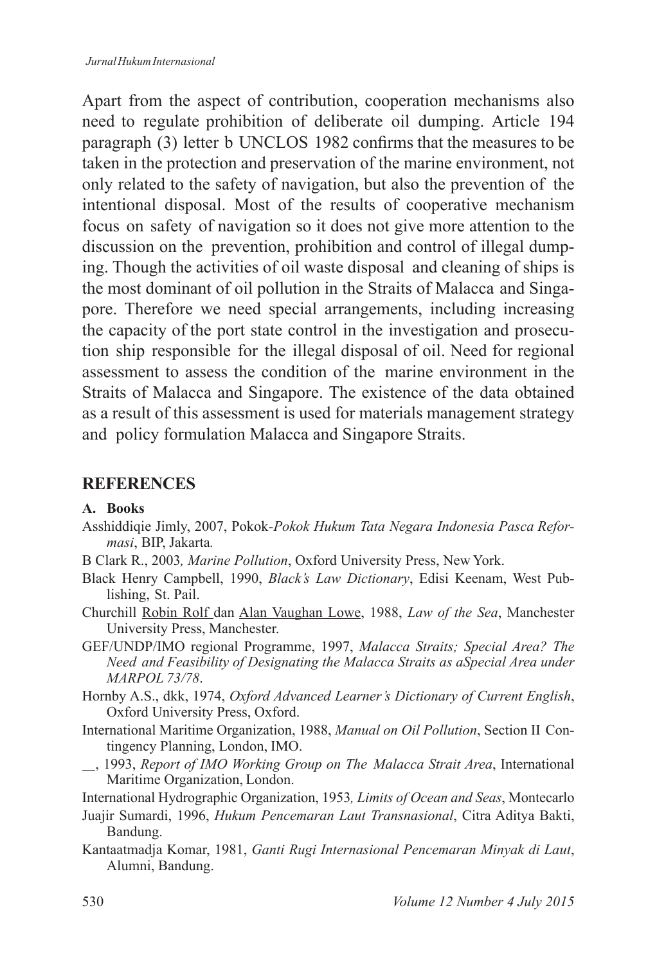Apart from the aspect of contribution, cooperation mechanisms also need to regulate prohibition of deliberate oil dumping. Article 194 paragraph (3) letter b UNCLOS 1982 confirms that the measures to be taken in the protection and preservation of the marine environment, not only related to the safety of navigation, but also the prevention of the intentional disposal. Most of the results of cooperative mechanism focus on safety of navigation so it does not give more attention to the discussion on the prevention, prohibition and control of illegal dumping. Though the activities of oil waste disposal and cleaning of ships is the most dominant of oil pollution in the Straits of Malacca and Singapore. Therefore we need special arrangements, including increasing the capacity of the port state control in the investigation and prosecution ship responsible for the illegal disposal of oil. Need for regional assessment to assess the condition of the marine environment in the Straits of Malacca and Singapore. The existence of the data obtained as a result of this assessment is used for materials management strategy and policy formulation Malacca and Singapore Straits.

### **REFERENCES**

#### **A. Books**

- Asshiddiqie Jimly, 2007, Pokok*-Pokok Hukum Tata Negara Indonesia Pasca Reformasi*, BIP, Jakarta*.*
- B Clark R., 2003*, Marine Pollution*, Oxford University Press, New York.
- Black Henry Campbell, 1990, *Black's Law Dictionary*, Edisi Keenam, West Publishing, St. Pail.
- Churchill Robin Rolf dan Alan Vaughan Lowe, 1988, *Law of the Sea*, Manchester University Press, Manchester.
- GEF/UNDP/IMO regional Programme, 1997, *Malacca Straits; Special Area? The Need and Feasibility of Designating the Malacca Straits as aSpecial Area under MARPOL 73/78*.
- Hornby A.S., dkk, 1974, *Oxford Advanced Learner's Dictionary of Current English*, Oxford University Press, Oxford.
- International Maritime Organization, 1988, *Manual on Oil Pollution*, Section II Contingency Planning, London, IMO.
- , 1993, *Report of IMO Working Group on The Malacca Strait Area*, International Maritime Organization, London.
- International Hydrographic Organization, 1953*, Limits of Ocean and Seas*, Montecarlo
- Juajir Sumardi, 1996, *Hukum Pencemaran Laut Transnasional*, Citra Aditya Bakti, Bandung.
- Kantaatmadja Komar, 1981, *Ganti Rugi Internasional Pencemaran Minyak di Laut*, Alumni, Bandung.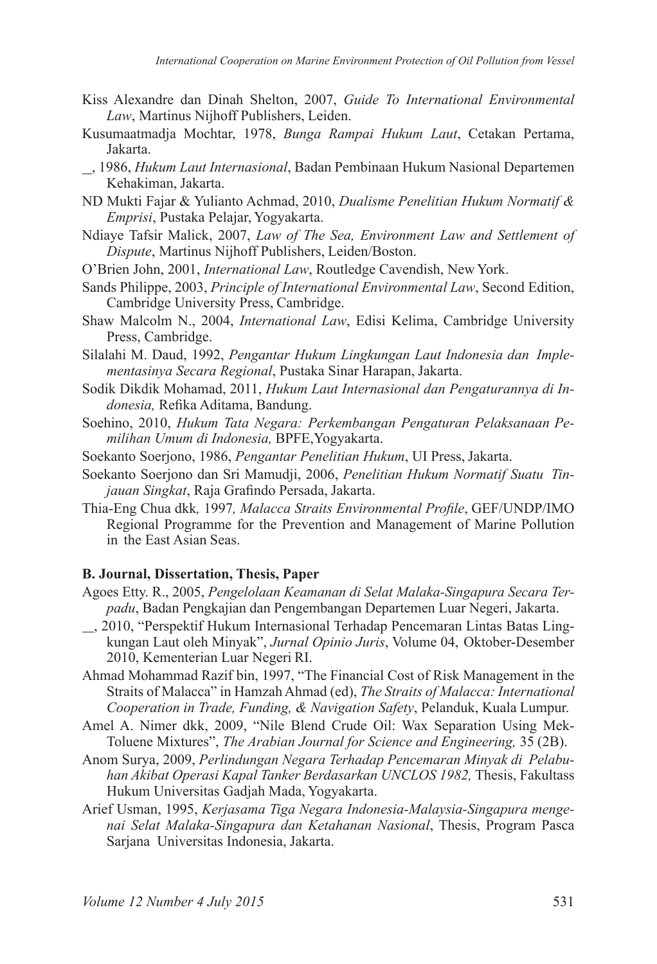- Kiss Alexandre dan Dinah Shelton, 2007, *Guide To International Environmental Law*, Martinus Nijhoff Publishers, Leiden.
- Kusumaatmadja Mochtar, 1978, *Bunga Rampai Hukum Laut*, Cetakan Pertama, Jakarta.
- , 1986, *Hukum Laut Internasional*, Badan Pembinaan Hukum Nasional Departemen Kehakiman, Jakarta.
- ND Mukti Fajar & Yulianto Achmad, 2010, *Dualisme Penelitian Hukum Normatif & Emprisi*, Pustaka Pelajar, Yogyakarta.
- Ndiaye Tafsir Malick, 2007, *Law of The Sea, Environment Law and Settlement of Dispute*, Martinus Nijhoff Publishers, Leiden/Boston.
- O'Brien John, 2001, *International Law*, Routledge Cavendish, New York.
- Sands Philippe, 2003, *Principle of International Environmental Law*, Second Edition, Cambridge University Press, Cambridge.
- Shaw Malcolm N., 2004, *International Law*, Edisi Kelima, Cambridge University Press, Cambridge.
- Silalahi M. Daud, 1992, *Pengantar Hukum Lingkungan Laut Indonesia dan Implementasinya Secara Regional*, Pustaka Sinar Harapan, Jakarta.
- Sodik Dikdik Mohamad, 2011, *Hukum Laut Internasional dan Pengaturannya di Indonesia,* Refika Aditama, Bandung.
- Soehino, 2010, *Hukum Tata Negara: Perkembangan Pengaturan Pelaksanaan Pemilihan Umum di Indonesia,* BPFE,Yogyakarta.
- Soekanto Soerjono, 1986, *Pengantar Penelitian Hukum*, UI Press, Jakarta.
- Soekanto Soerjono dan Sri Mamudji, 2006, *Penelitian Hukum Normatif Suatu Tinjauan Singkat*, Raja Grafindo Persada, Jakarta.
- Thia-Eng Chua dkk*,* 1997*, Malacca Straits Environmental Profile*, GEF/UNDP/IMO Regional Programme for the Prevention and Management of Marine Pollution in the East Asian Seas.

#### **B. Journal, Dissertation, Thesis, Paper**

- Agoes Etty. R., 2005, *Pengelolaan Keamanan di Selat Malaka-Singapura Secara Terpadu*, Badan Pengkajian dan Pengembangan Departemen Luar Negeri, Jakarta.
- , 2010, "Perspektif Hukum Internasional Terhadap Pencemaran Lintas Batas Lingkungan Laut oleh Minyak", *Jurnal Opinio Juris*, Volume 04, Oktober-Desember 2010, Kementerian Luar Negeri RI.
- Ahmad Mohammad Razif bin, 1997, "The Financial Cost of Risk Management in the Straits of Malacca" in Hamzah Ahmad (ed), *The Straits of Malacca: International Cooperation in Trade, Funding, & Navigation Safety*, Pelanduk, Kuala Lumpur.
- Amel A. Nimer dkk, 2009, "Nile Blend Crude Oil: Wax Separation Using Mek-Toluene Mixtures", *The Arabian Journal for Science and Engineering,* 35 (2B).
- Anom Surya, 2009, *Perlindungan Negara Terhadap Pencemaran Minyak di Pelabuhan Akibat Operasi Kapal Tanker Berdasarkan UNCLOS 1982,* Thesis, Fakultass Hukum Universitas Gadjah Mada, Yogyakarta.
- Arief Usman, 1995, *Kerjasama Tiga Negara Indonesia-Malaysia-Singapura mengenai Selat Malaka-Singapura dan Ketahanan Nasional*, Thesis, Program Pasca Sarjana Universitas Indonesia, Jakarta.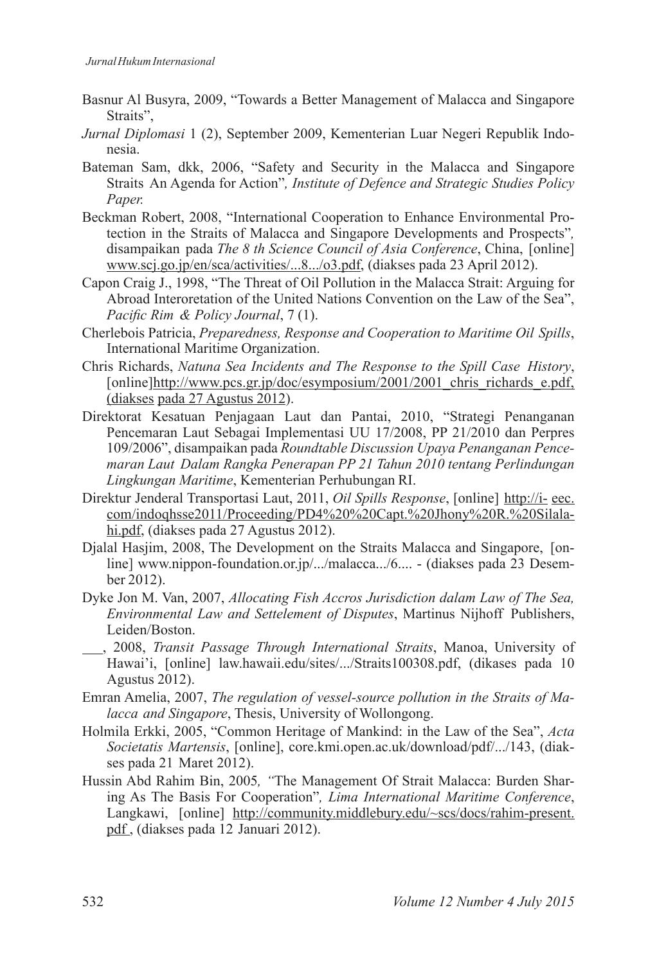- Basnur Al Busyra, 2009, "Towards a Better Management of Malacca and Singapore Straits",
- *Jurnal Diplomasi* 1 (2), September 2009, Kementerian Luar Negeri Republik Indonesia.
- Bateman Sam, dkk, 2006, "Safety and Security in the Malacca and Singapore Straits An Agenda for Action"*, Institute of Defence and Strategic Studies Policy Paper.*
- Beckman Robert, 2008, "International Cooperation to Enhance Environmental Protection in the Straits of Malacca and Singapore Developments and Prospects"*,*  disampaikan pada *The 8 th Science Council of Asia Conference*, China, [online] www.scj.go.jp/en/sca/activities/...8.../o3.pdf, (diakses pada 23 April 2012).
- Capon Craig J., 1998, "The Threat of Oil Pollution in the Malacca Strait: Arguing for Abroad Interoretation of the United Nations Convention on the Law of the Sea", *Pacific Rim & Policy Journal*, 7 (1).
- Cherlebois Patricia, *Preparedness, Response and Cooperation to Maritime Oil Spills*, International Maritime Organization.
- Chris Richards, *Natuna Sea Incidents and The Response to the Spill Case History*, [online]http://www.pcs.gr.jp/doc/esymposium/2001/2001\_chris\_richards\_e.pdf, (diakses pada 27 Agustus 2012).
- Direktorat Kesatuan Penjagaan Laut dan Pantai, 2010, "Strategi Penanganan Pencemaran Laut Sebagai Implementasi UU 17/2008, PP 21/2010 dan Perpres 109/2006", disampaikan pada *Roundtable Discussion Upaya Penanganan Pencemaran Laut Dalam Rangka Penerapan PP 21 Tahun 2010 tentang Perlindungan Lingkungan Maritime*, Kementerian Perhubungan RI.
- Direktur Jenderal Transportasi Laut, 2011, *Oil Spills Response*, [online] http://i- eec. com/indoqhsse2011/Proceeding/PD4%20%20Capt.%20Jhony%20R.%20Silalahi.pdf, (diakses pada 27 Agustus 2012).
- Djalal Hasjim, 2008, The Development on the Straits Malacca and Singapore, [online] www.nippon-foundation.or.jp/.../malacca.../6.... - (diakses pada 23 Desember 2012).
- Dyke Jon M. Van, 2007, *Allocating Fish Accros Jurisdiction dalam Law of The Sea, Environmental Law and Settelement of Disputes*, Martinus Nijhoff Publishers, Leiden/Boston.
- , 2008, *Transit Passage Through International Straits*, Manoa, University of Hawai'i, [online] law.hawaii.edu/sites/.../Straits100308.pdf, (dikases pada 10 Agustus 2012).
- Emran Amelia, 2007, *The regulation of vessel-source pollution in the Straits of Malacca and Singapore*, Thesis, University of Wollongong.
- Holmila Erkki, 2005, "Common Heritage of Mankind: in the Law of the Sea", *Acta Societatis Martensis*, [online], core.kmi.open.ac.uk/download/pdf/.../143, (diakses pada 21 Maret 2012).
- Hussin Abd Rahim Bin, 2005*, "*The Management Of Strait Malacca: Burden Sharing As The Basis For Cooperation"*, Lima International Maritime Conference*, Langkawi, [online] http://community.middlebury.edu/~scs/docs/rahim-present. pdf , (diakses pada 12 Januari 2012).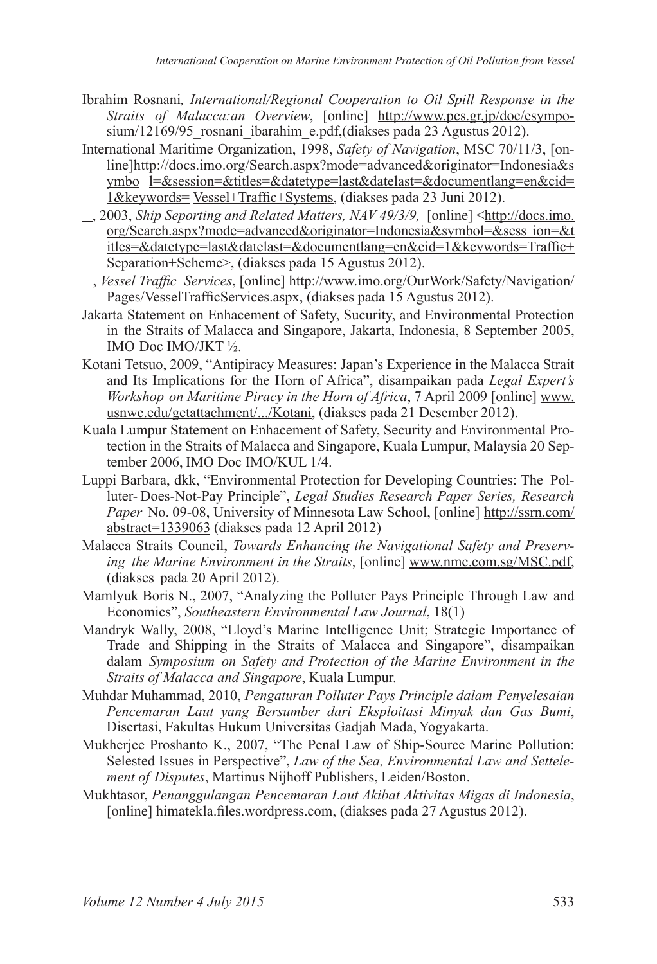- Ibrahim Rosnani*, International/Regional Cooperation to Oil Spill Response in the Straits of Malacca:an Overview*, [online] http://www.pcs.gr.jp/doc/esymposium/12169/95\_rosnani\_ibarahim\_e.pdf,(diakses pada 23 Agustus 2012).
- International Maritime Organization, 1998, *Safety of Navigation*, MSC 70/11/3, [online]http://docs.imo.org/Search.aspx?mode=advanced&originator=Indonesia&s ymbo l=&session=&titles=&datetype=last&datelast=&documentlang=en&cid= 1&keywords= Vessel+Traffic+Systems, (diakses pada 23 Juni 2012).
- , 2003, *Ship Seporting and Related Matters, NAV 49/3/9,* [online] <http://docs.imo. org/Search.aspx?mode=advanced&originator=Indonesia&symbol=&sess ion=&t itles=&datetype=last&datelast=&documentlang=en&cid=1&keywords=Traffic+ Separation+Scheme>, (diakses pada 15 Agustus 2012).
- , *Vessel Traffic Services*, [online] http://www.imo.org/OurWork/Safety/Navigation/ Pages/VesselTrafficServices.aspx, (diakses pada 15 Agustus 2012).
- Jakarta Statement on Enhacement of Safety, Sucurity, and Environmental Protection in the Straits of Malacca and Singapore, Jakarta, Indonesia, 8 September 2005, IMO Doc IMO/JKT ½.
- Kotani Tetsuo, 2009, "Antipiracy Measures: Japan's Experience in the Malacca Strait and Its Implications for the Horn of Africa", disampaikan pada *Legal Expert's Workshop on Maritime Piracy in the Horn of Africa*, 7 April 2009 [online] www. usnwc.edu/getattachment/.../Kotani, (diakses pada 21 Desember 2012).
- Kuala Lumpur Statement on Enhacement of Safety, Security and Environmental Protection in the Straits of Malacca and Singapore, Kuala Lumpur, Malaysia 20 September 2006, IMO Doc IMO/KUL 1/4.
- Luppi Barbara, dkk, "Environmental Protection for Developing Countries: The Polluter- Does-Not-Pay Principle", *Legal Studies Research Paper Series, Research Paper* No. 09-08, University of Minnesota Law School, [online] http://ssrn.com/ abstract=1339063 (diakses pada 12 April 2012)
- Malacca Straits Council, *Towards Enhancing the Navigational Safety and Preserving the Marine Environment in the Straits*, [online] www.nmc.com.sg/MSC.pdf, (diakses pada 20 April 2012).
- Mamlyuk Boris N., 2007, "Analyzing the Polluter Pays Principle Through Law and Economics", *Southeastern Environmental Law Journal*, 18(1)
- Mandryk Wally, 2008, "Lloyd's Marine Intelligence Unit; Strategic Importance of Trade and Shipping in the Straits of Malacca and Singapore", disampaikan dalam *Symposium on Safety and Protection of the Marine Environment in the Straits of Malacca and Singapore*, Kuala Lumpur.
- Muhdar Muhammad, 2010, *Pengaturan Polluter Pays Principle dalam Penyelesaian Pencemaran Laut yang Bersumber dari Eksploitasi Minyak dan Gas Bumi*, Disertasi, Fakultas Hukum Universitas Gadjah Mada, Yogyakarta.
- Mukherjee Proshanto K., 2007, "The Penal Law of Ship-Source Marine Pollution: Selested Issues in Perspective", *Law of the Sea, Environmental Law and Settelement of Disputes*, Martinus Nijhoff Publishers, Leiden/Boston.
- Mukhtasor, *Penanggulangan Pencemaran Laut Akibat Aktivitas Migas di Indonesia*, [online] himatekla.files.wordpress.com, (diakses pada 27 Agustus 2012).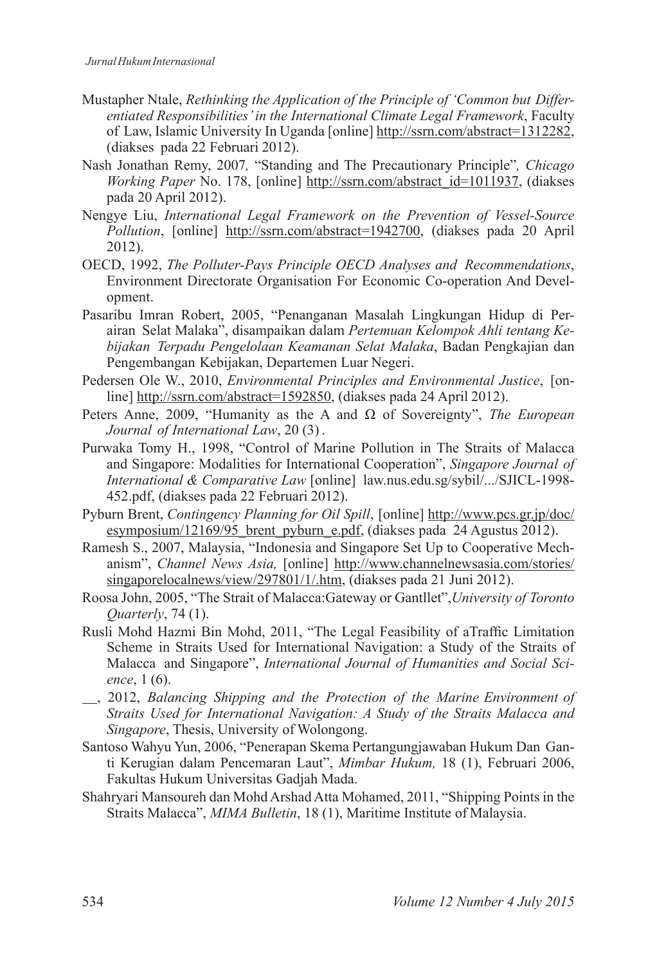- Mustapher Ntale, *Rethinking the Application of the Principle of 'Common but Differentiated Responsibilities' in the International Climate Legal Framework*, Faculty of Law, Islamic University In Uganda [online] http://ssrn.com/abstract=1312282, (diakses pada 22 Februari 2012).
- Nash Jonathan Remy, 2007*,* "Standing and The Precautionary Principle"*, Chicago Working Paper* No. 178, [online] http://ssrn.com/abstract\_id=1011937, (diakses pada 20 April 2012).
- Nengye Liu, *International Legal Framework on the Prevention of Vessel-Source Pollution*, [online] http://ssrn.com/abstract=1942700, (diakses pada 20 April 2012).
- OECD, 1992, *The Polluter-Pays Principle OECD Analyses and Recommendations*, Environment Directorate Organisation For Economic Co-operation And Development.
- Pasaribu Imran Robert, 2005, "Penanganan Masalah Lingkungan Hidup di Perairan Selat Malaka", disampaikan dalam *Pertemuan Kelompok Ahli tentang Kebijakan Terpadu Pengelolaan Keamanan Selat Malaka*, Badan Pengkajian dan Pengembangan Kebijakan, Departemen Luar Negeri.
- Pedersen Ole W., 2010, *Environmental Principles and Environmental Justice*, [online] http://ssrn.com/abstract=1592850, (diakses pada 24 April 2012).
- Peters Anne, 2009, "Humanity as the A and Ω of Sovereignty", *The European Journal of International Law*, 20 (3) .
- Purwaka Tomy H., 1998, "Control of Marine Pollution in The Straits of Malacca and Singapore: Modalities for International Cooperation", *Singapore Journal of International & Comparative Law* [online] law.nus.edu.sg/sybil/.../SJICL-1998- 452.pdf, (diakses pada 22 Februari 2012).
- Pyburn Brent, *Contingency Planning for Oil Spill*, [online] http://www.pcs.gr.jp/doc/ esymposium/12169/95\_brent\_pyburn\_e.pdf, (diakses pada 24 Agustus 2012).
- Ramesh S., 2007, Malaysia, "Indonesia and Singapore Set Up to Cooperative Mechanism", *Channel News Asia,* [online] http://www.channelnewsasia.com/stories/ singaporelocalnews/view/297801/1/.htm, (diakses pada 21 Juni 2012).
- Roosa John, 2005, "The Strait of Malacca:Gateway or Gantllet",*University of Toronto Quarterly*, 74 (1).
- Rusli Mohd Hazmi Bin Mohd, 2011, "The Legal Feasibility of aTraffic Limitation Scheme in Straits Used for International Navigation: a Study of the Straits of Malacca and Singapore", *International Journal of Humanities and Social Science*, 1 (6).
- , 2012, *Balancing Shipping and the Protection of the Marine Environment of Straits Used for International Navigation: A Study of the Straits Malacca and Singapore*, Thesis, University of Wolongong.
- Santoso Wahyu Yun, 2006, "Penerapan Skema Pertangungjawaban Hukum Dan Ganti Kerugian dalam Pencemaran Laut", *Mimbar Hukum,* 18 (1), Februari 2006, Fakultas Hukum Universitas Gadjah Mada.
- Shahryari Mansoureh dan Mohd Arshad Atta Mohamed, 2011, "Shipping Points in the Straits Malacca", *MIMA Bulletin*, 18 (1), Maritime Institute of Malaysia.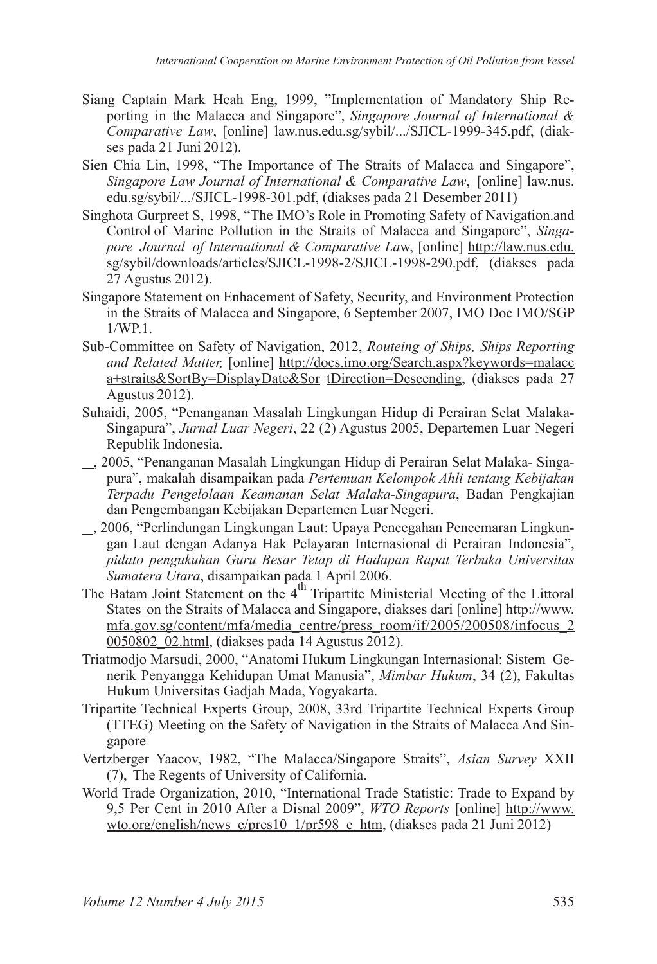- Siang Captain Mark Heah Eng, 1999, "Implementation of Mandatory Ship Reporting in the Malacca and Singapore", *Singapore Journal of International & Comparative Law*, [online] law.nus.edu.sg/sybil/.../SJICL-1999-345.pdf, (diakses pada 21 Juni 2012).
- Sien Chia Lin, 1998, "The Importance of The Straits of Malacca and Singapore", *Singapore Law Journal of International & Comparative Law*, [online] law.nus. edu.sg/sybil/.../SJICL-1998-301.pdf, (diakses pada 21 Desember 2011)
- Singhota Gurpreet S, 1998, "The IMO's Role in Promoting Safety of Navigation.and Control of Marine Pollution in the Straits of Malacca and Singapore", *Singapore Journal of International & Comparative La*w, [online] http://law.nus.edu. sg/sybil/downloads/articles/SJICL-1998-2/SJICL-1998-290.pdf, (diakses pada 27 Agustus 2012).
- Singapore Statement on Enhacement of Safety, Security, and Environment Protection in the Straits of Malacca and Singapore, 6 September 2007, IMO Doc IMO/SGP  $1/WP1$
- Sub-Committee on Safety of Navigation, 2012, *Routeing of Ships, Ships Reporting and Related Matter,* [online] http://docs.imo.org/Search.aspx?keywords=malacc a+straits&SortBy=DisplayDate&Sor tDirection=Descending, (diakses pada 27 Agustus 2012).
- Suhaidi, 2005, "Penanganan Masalah Lingkungan Hidup di Perairan Selat Malaka-Singapura", *Jurnal Luar Negeri*, 22 (2) Agustus 2005, Departemen Luar Negeri Republik Indonesia.
- , 2005, "Penanganan Masalah Lingkungan Hidup di Perairan Selat Malaka- Singapura", makalah disampaikan pada *Pertemuan Kelompok Ahli tentang Kebijakan Terpadu Pengelolaan Keamanan Selat Malaka-Singapura*, Badan Pengkajian dan Pengembangan Kebijakan Departemen Luar Negeri.
- , 2006, "Perlindungan Lingkungan Laut: Upaya Pencegahan Pencemaran Lingkungan Laut dengan Adanya Hak Pelayaran Internasional di Perairan Indonesia", *pidato pengukuhan Guru Besar Tetap di Hadapan Rapat Terbuka Universitas Sumatera Utara*, disampaikan pada 1 April 2006.
- The Batam Joint Statement on the  $4<sup>th</sup>$  Tripartite Ministerial Meeting of the Littoral States on the Straits of Malacca and Singapore, diakses dari [online] http://www. mfa.gov.sg/content/mfa/media\_centre/press\_room/if/2005/200508/infocus\_2 0050802  $\overline{02}$ .html, (diakses pada 14 Agustus 2012).
- Triatmodjo Marsudi, 2000, "Anatomi Hukum Lingkungan Internasional: Sistem Generik Penyangga Kehidupan Umat Manusia", *Mimbar Hukum*, 34 (2), Fakultas Hukum Universitas Gadjah Mada, Yogyakarta.
- Tripartite Technical Experts Group, 2008, 33rd Tripartite Technical Experts Group (TTEG) Meeting on the Safety of Navigation in the Straits of Malacca And Singapore
- Vertzberger Yaacov, 1982, "The Malacca/Singapore Straits", *Asian Survey* XXII (7), The Regents of University of California.
- World Trade Organization, 2010, "International Trade Statistic: Trade to Expand by 9,5 Per Cent in 2010 After a Disnal 2009", *WTO Reports* [online] http://www. wto.org/english/news\_e/pres10\_1/pr598\_e\_htm, (diakses pada 21 Juni 2012)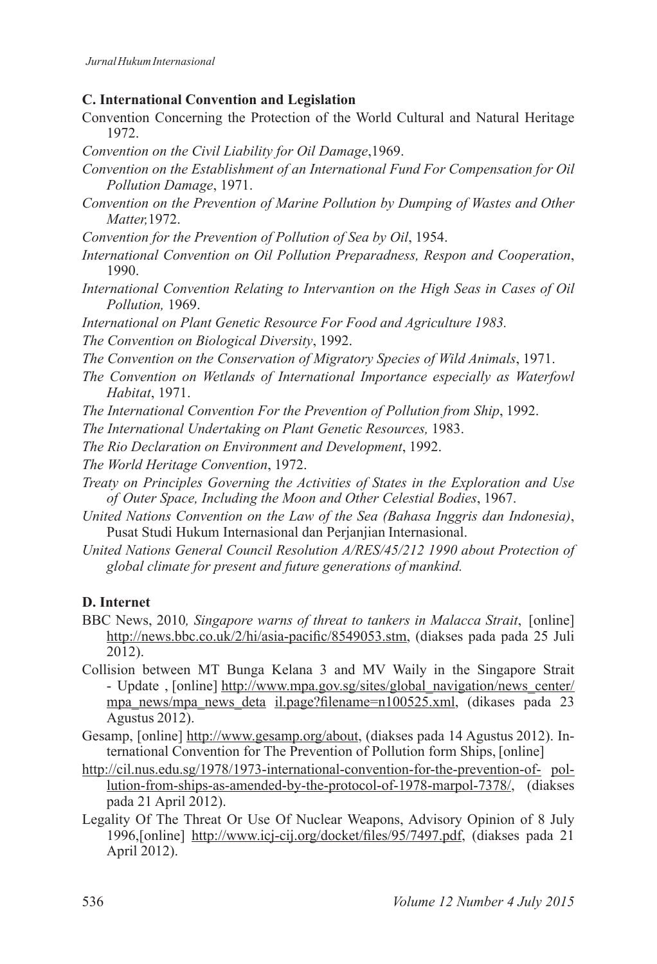#### **C. International Convention and Legislation**

- Convention Concerning the Protection of the World Cultural and Natural Heritage 1972.
- *Convention on the Civil Liability for Oil Damage*,1969.
- *Convention on the Establishment of an International Fund For Compensation for Oil Pollution Damage*, 1971.
- *Convention on the Prevention of Marine Pollution by Dumping of Wastes and Other Matter,*1972.
- *Convention for the Prevention of Pollution of Sea by Oil*, 1954.
- *International Convention on Oil Pollution Preparadness, Respon and Cooperation*, 1990.
- *International Convention Relating to Intervantion on the High Seas in Cases of Oil Pollution,* 1969.
- *International on Plant Genetic Resource For Food and Agriculture 1983.*
- *The Convention on Biological Diversity*, 1992.
- *The Convention on the Conservation of Migratory Species of Wild Animals*, 1971.
- *The Convention on Wetlands of International Importance especially as Waterfowl Habitat*, 1971.
- *The International Convention For the Prevention of Pollution from Ship*, 1992.
- *The International Undertaking on Plant Genetic Resources,* 1983.
- *The Rio Declaration on Environment and Development*, 1992.
- *The World Heritage Convention*, 1972.
- *Treaty on Principles Governing the Activities of States in the Exploration and Use of Outer Space, Including the Moon and Other Celestial Bodies*, 1967.
- *United Nations Convention on the Law of the Sea (Bahasa Inggris dan Indonesia)*, Pusat Studi Hukum Internasional dan Perjanjian Internasional.
- *United Nations General Council Resolution A/RES/45/212 1990 about Protection of global climate for present and future generations of mankind.*

#### **D. Internet**

- BBC News, 2010*, Singapore warns of threat to tankers in Malacca Strait*, [online] http://news.bbc.co.uk/2/hi/asia-pacific/8549053.stm, (diakses pada pada 25 Juli 2012).
- Collision between MT Bunga Kelana 3 and MV Waily in the Singapore Strait - Update , [online] http://www.mpa.gov.sg/sites/global\_navigation/news\_center/ mpa news/mpa news deta il.page?filename=n100525.xml, (dikases pada 23 Agustus 2012).
- Gesamp, [online] http://www.gesamp.org/about, (diakses pada 14 Agustus 2012). International Convention for The Prevention of Pollution form Ships, [online]
- http://cil.nus.edu.sg/1978/1973-international-convention-for-the-prevention-of- pollution-from-ships-as-amended-by-the-protocol-of-1978-marpol-7378/, (diakses pada 21 April 2012).
- Legality Of The Threat Or Use Of Nuclear Weapons, Advisory Opinion of 8 July 1996,[online] http://www.icj-cij.org/docket/files/95/7497.pdf, (diakses pada 21 April 2012).